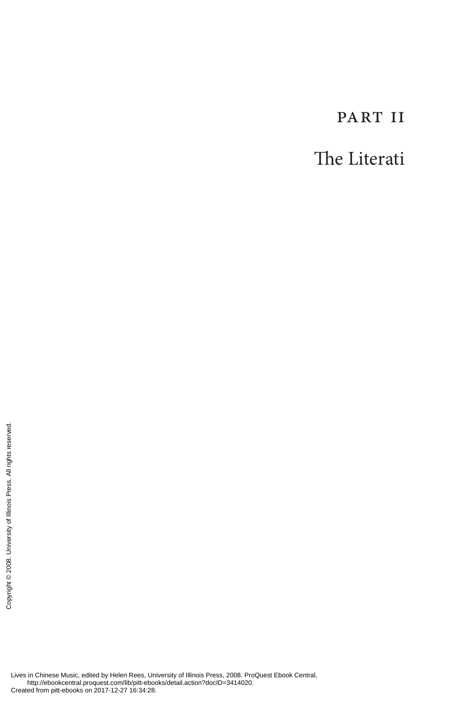# part ii

# The Literati

Lives in Chinese Music, edited by Helen Rees, University of Illinois Press, 2008. ProQuest Ebook Central, http://ebookcentral.proquest.com/lib/pitt-ebooks/detail.action?docID=3414020. Peology<br>Created from pitt-ebooks on 2017-12-27 16:34:28.<br>Lives in Chinese Music, edited by Helen Rees, Unit<br>Created from pitt-ebooks on 2017-12-27 16:34:28.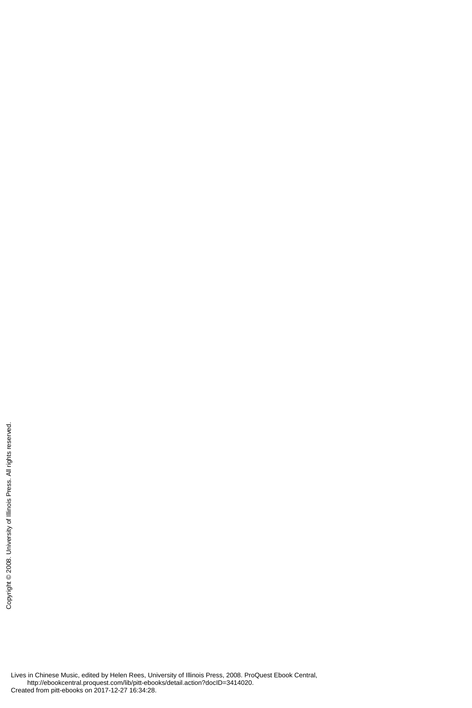Lives in Chinese Music, edited by Helen Rees, University of Illinois Press, 2008. ProQuest Ebook Central, http://ebookcentral.proquest.com/lib/pitt-ebooks/detail.action?docID=3414020. Peology<br>Created from pitt-ebooks on 2017-12-27 16:34:28.<br>Lives in Chinese Music, edited by Helen Rees, Unit<br>Created from pitt-ebooks on 2017-12-27 16:34:28.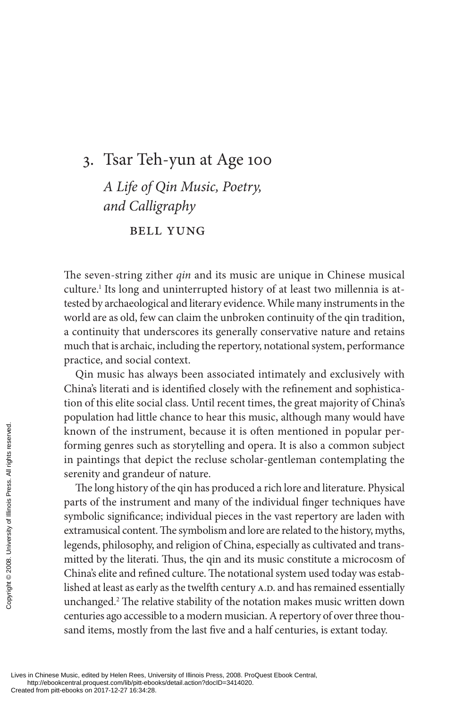# 3. Tsar Teh-yun at Age 100

*A Life of Qin Music, Poetry, and Calligraphy*

bell yung

The seven-string zither *qin* and its music are unique in Chinese musical culture.<sup>1</sup> Its long and uninterrupted history of at least two millennia is attested by archaeological and literary evidence. While many instruments in the world are as old, few can claim the unbroken continuity of the qin tradition, a continuity that underscores its generally conservative nature and retains much that is archaic, including the repertory, notational system, performance practice, and social context.

Qin music has always been associated intimately and exclusively with China's literati and is identified closely with the refinement and sophistication of this elite social class. Until recent times, the great majority of China's population had little chance to hear this music, although many would have known of the instrument, because it is often mentioned in popular performing genres such as storytelling and opera. It is also a common subject in paintings that depict the recluse scholar-gentleman contemplating the serenity and grandeur of nature.

The long history of the qin has produced a rich lore and literature. Physical parts of the instrument and many of the individual finger techniques have symbolic significance; individual pieces in the vast repertory are laden with extramusical content. The symbolism and lore are related to the history, myths, legends, philosophy, and religion of China, especially as cultivated and transmitted by the literati. Thus, the qin and its music constitute a microcosm of China's elite and refined culture. The notational system used today was established at least as early as the twelfth century A.D. and has remained essentially unchanged.2 The relative stability of the notation makes music written down centuries ago accessible to a modern musician. A repertory of over three thousand items, mostly from the last five and a half centuries, is extant today. Exerces from pitt-ebooks on 2017-12-27 16:34:28.<br>Created from pitt-ebooks on 2017-12-27 16:34:28.<br>Created from pitt-ebooks on 2017-12-27 16:34:28.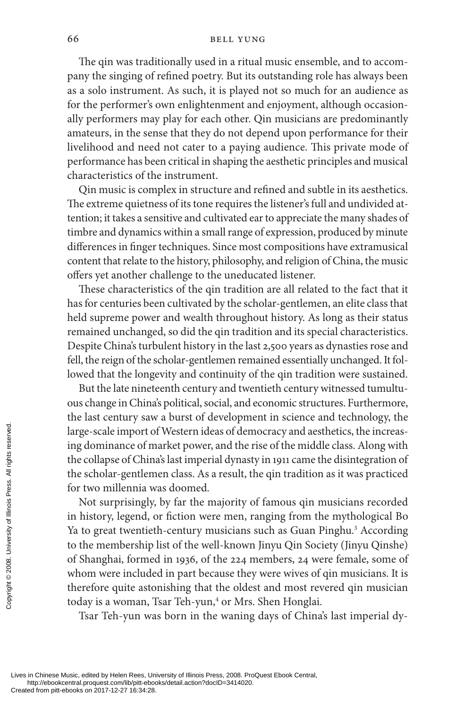The qin was traditionally used in a ritual music ensemble, and to accompany the singing of refined poetry. But its outstanding role has always been as a solo instrument. As such, it is played not so much for an audience as for the performer's own enlightenment and enjoyment, although occasionally performers may play for each other. Qin musicians are predominantly amateurs, in the sense that they do not depend upon performance for their livelihood and need not cater to a paying audience. This private mode of performance has been critical in shaping the aesthetic principles and musical characteristics of the instrument.

Qin music is complex in structure and refined and subtle in its aesthetics. The extreme quietness of its tone requires the listener's full and undivided attention; it takes a sensitive and cultivated ear to appreciate the many shades of timbre and dynamics within a small range of expression, produced by minute differences in finger techniques. Since most compositions have extramusical content that relate to the history, philosophy, and religion of China, the music offers yet another challenge to the uneducated listener.

These characteristics of the qin tradition are all related to the fact that it has for centuries been cultivated by the scholar-gentlemen, an elite class that held supreme power and wealth throughout history. As long as their status remained unchanged, so did the qin tradition and its special characteristics. Despite China's turbulent history in the last 2,500 years as dynasties rose and fell, the reign of the scholar-gentlemen remained essentially unchanged. It followed that the longevity and continuity of the qin tradition were sustained.

But the late nineteenth century and twentieth century witnessed tumultuous change in China's political, social, and economic structures. Furthermore, the last century saw a burst of development in science and technology, the large-scale import of Western ideas of democracy and aesthetics, the increasing dominance of market power, and the rise of the middle class. Along with the collapse of China's last imperial dynasty in 1911 came the disintegration of the scholar-gentlemen class. As a result, the qin tradition as it was practiced for two millennia was doomed.

Not surprisingly, by far the majority of famous qin musicians recorded in history, legend, or fiction were men, ranging from the mythological Bo Ya to great twentieth-century musicians such as Guan Pinghu.<sup>3</sup> According to the membership list of the well-known Jinyu Qin Society (Jinyu Qinshe) of Shanghai, formed in 1936, of the 224 members, 24 were female, some of whom were included in part because they were wives of qin musicians. It is therefore quite astonishing that the oldest and most revered qin musician today is a woman, Tsar Teh-yun,<sup>4</sup> or Mrs. Shen Honglai. Press. Press. The collapse of China<br>
Engine for the collapse of China<br>
the scholar-gentlem<br>
for two millennia w<br>
Not surprisingly,<br>
in history, legend, c<br>
Ya to great twentiet<br>
to the membership<br>
of Shanghai, formed<br>
whom

Tsar Teh-yun was born in the waning days of China's last imperial dy-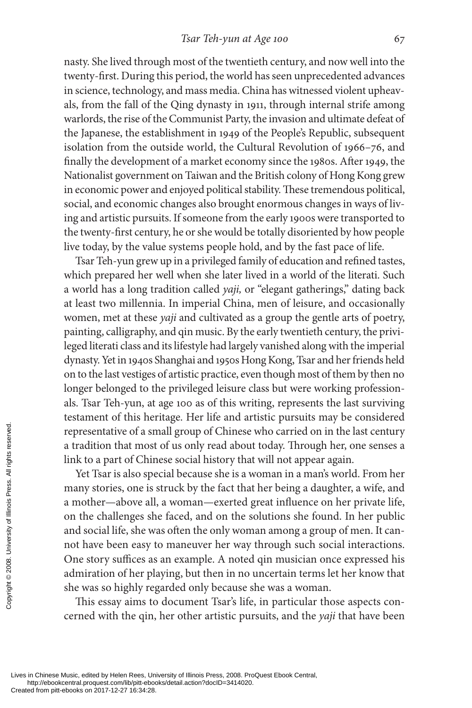nasty. She lived through most of the twentieth century, and now well into the twenty-first. During this period, the world has seen unprecedented advances in science, technology, and mass media. China has witnessed violent upheavals, from the fall of the Qing dynasty in 1911, through internal strife among warlords, the rise of the Communist Party, the invasion and ultimate defeat of the Japanese, the establishment in 1949 of the People's Republic, subsequent isolation from the outside world, the Cultural Revolution of 1966–76, and finally the development of a market economy since the 1980s. After 1949, the Nationalist government on Taiwan and the British colony of Hong Kong grew in economic power and enjoyed political stability. These tremendous political, social, and economic changes also brought enormous changes in ways of living and artistic pursuits. If someone from the early 1900s were transported to the twenty-first century, he or she would be totally disoriented by how people live today, by the value systems people hold, and by the fast pace of life.

Tsar Teh-yun grew up in a privileged family of education and refined tastes, which prepared her well when she later lived in a world of the literati. Such a world has a long tradition called *yaji,* or "elegant gatherings," dating back at least two millennia. In imperial China, men of leisure, and occasionally women, met at these *yaji* and cultivated as a group the gentle arts of poetry, painting, calligraphy, and qin music. By the early twentieth century, the privileged literati class and its lifestyle had largely vanished along with the imperial dynasty. Yet in 1940s Shanghai and 1950s Hong Kong, Tsar and her friends held on to the last vestiges of artistic practice, even though most of them by then no longer belonged to the privileged leisure class but were working professionals. Tsar Teh-yun, at age 100 as of this writing, represents the last surviving testament of this heritage. Her life and artistic pursuits may be considered representative of a small group of Chinese who carried on in the last century a tradition that most of us only read about today. Through her, one senses a link to a part of Chinese social history that will not appear again.

Yet Tsar is also special because she is a woman in a man's world. From her many stories, one is struck by the fact that her being a daughter, a wife, and a mother—above all, a woman—exerted great influence on her private life, on the challenges she faced, and on the solutions she found. In her public and social life, she was often the only woman among a group of men. It cannot have been easy to maneuver her way through such social interactions. One story suffices as an example. A noted qin musician once expressed his admiration of her playing, but then in no uncertain terms let her know that she was so highly regarded only because she was a woman. representative of a sn<br>
a tradition that most<br>
link to a part of Chir<br>
Yet Tsar is also spe<br>
many stories, one is<br>
a mother—above all<br>
on the challenges sh<br>
and social life, she w.<br>
not have been easy t<br>
One story suffices

This essay aims to document Tsar's life, in particular those aspects concerned with the qin, her other artistic pursuits, and the *yaji* that have been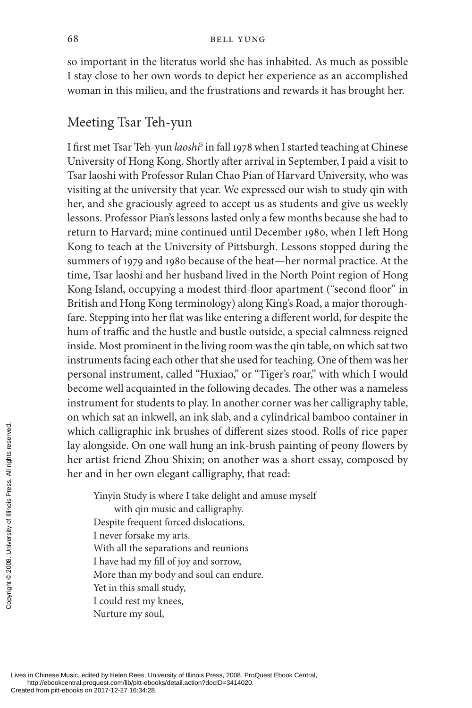so important in the literatus world she has inhabited. As much as possible I stay close to her own words to depict her experience as an accomplished woman in this milieu, and the frustrations and rewards it has brought her.

# Meeting Tsar Teh-yun

I first met Tsar Teh-yun *laoshi*<sup>5</sup> in fall 1978 when I started teaching at Chinese University of Hong Kong. Shortly after arrival in September, I paid a visit to Tsar laoshi with Professor Rulan Chao Pian of Harvard University, who was visiting at the university that year. We expressed our wish to study qin with her, and she graciously agreed to accept us as students and give us weekly lessons. Professor Pian's lessons lasted only a few months because she had to return to Harvard; mine continued until December 1980, when I left Hong Kong to teach at the University of Pittsburgh. Lessons stopped during the summers of 1979 and 1980 because of the heat—her normal practice. At the time, Tsar laoshi and her husband lived in the North Point region of Hong Kong Island, occupying a modest third-floor apartment ("second floor" in British and Hong Kong terminology) along King's Road, a major thoroughfare. Stepping into her flat was like entering a different world, for despite the hum of traffic and the hustle and bustle outside, a special calmness reigned inside. Most prominent in the living room was the qin table, on which sat two instruments facing each other that she used for teaching. One of them was her personal instrument, called "Huxiao," or "Tiger's roar," with which I would become well acquainted in the following decades. The other was a nameless instrument for students to play. In another corner was her calligraphy table, on which sat an inkwell, an ink slab, and a cylindrical bamboo container in which calligraphic ink brushes of different sizes stood. Rolls of rice paper lay alongside. On one wall hung an ink-brush painting of peony flowers by her artist friend Zhou Shixin; on another was a short essay, composed by her and in her own elegant calligraphy, that read: Proposed from pitt-ebooks on 2017-12-27 16:34:28.<br>
Created from pitt-ebooks on 2017-12-27 16:34:28.<br>
Created from pitt-ebooks on 2017-12-27 16:34:28.

Yinyin Study is where I take delight and amuse myself

with qin music and calligraphy. Despite frequent forced dislocations,

I never forsake my arts.

With all the separations and reunions

I have had my fill of joy and sorrow,

More than my body and soul can endure.

Yet in this small study,

I could rest my knees,

Nurture my soul,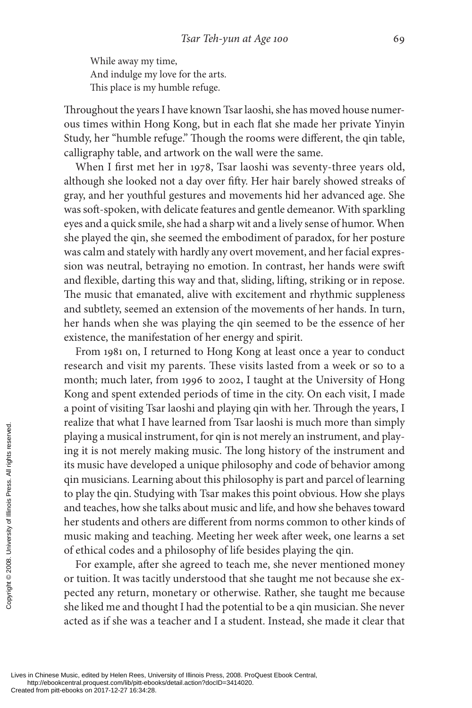While away my time, And indulge my love for the arts. This place is my humble refuge.

Throughout the years I have known Tsar laoshi, she has moved house numerous times within Hong Kong, but in each flat she made her private Yinyin Study, her "humble refuge." Though the rooms were different, the qin table, calligraphy table, and artwork on the wall were the same.

When I first met her in 1978, Tsar laoshi was seventy-three years old, although she looked not a day over fifty. Her hair barely showed streaks of gray, and her youthful gestures and movements hid her advanced age. She was soft-spoken, with delicate features and gentle demeanor. With sparkling eyes and a quick smile, she had a sharp wit and a lively sense of humor. When she played the qin, she seemed the embodiment of paradox, for her posture was calm and stately with hardly any overt movement, and her facial expression was neutral, betraying no emotion. In contrast, her hands were swift and flexible, darting this way and that, sliding, lifting, striking or in repose. The music that emanated, alive with excitement and rhythmic suppleness and subtlety, seemed an extension of the movements of her hands. In turn, her hands when she was playing the qin seemed to be the essence of her existence, the manifestation of her energy and spirit.

From 1981 on, I returned to Hong Kong at least once a year to conduct research and visit my parents. These visits lasted from a week or so to a month; much later, from 1996 to 2002, I taught at the University of Hong Kong and spent extended periods of time in the city. On each visit, I made a point of visiting Tsar laoshi and playing qin with her. Through the years, I realize that what I have learned from Tsar laoshi is much more than simply playing a musical instrument, for qin is not merely an instrument, and playing it is not merely making music. The long history of the instrument and its music have developed a unique philosophy and code of behavior among qin musicians. Learning about this philosophy is part and parcel of learning to play the qin. Studying with Tsar makes this point obvious. How she plays and teaches, how she talks about music and life, and how she behaves toward her students and others are different from norms common to other kinds of music making and teaching. Meeting her week after week, one learns a set of ethical codes and a philosophy of life besides playing the qin. Training a musical instants produced from pitter-ebooks on 2017-12-27 16:34:28.<br>
Lives in Chinese Music, edited by Helen Rees, University of Created from pitt-ebooks on 2017-12-27 16:34:28.<br>
Created from pitt-ebooks on 201

For example, after she agreed to teach me, she never mentioned money or tuition. It was tacitly understood that she taught me not because she expected any return, monetary or otherwise. Rather, she taught me because she liked me and thought I had the potential to be a qin musician. She never acted as if she was a teacher and I a student. Instead, she made it clear that

Lives in Chinese Music, edited by Helen Rees, University of Illinois Press, 2008. ProQuest Ebook Central, http://ebookcentral.proquest.com/lib/pitt-ebooks/detail.action?docID=3414020.<br>Created from pitt-ebooks on 2017-12-27 16:34:28.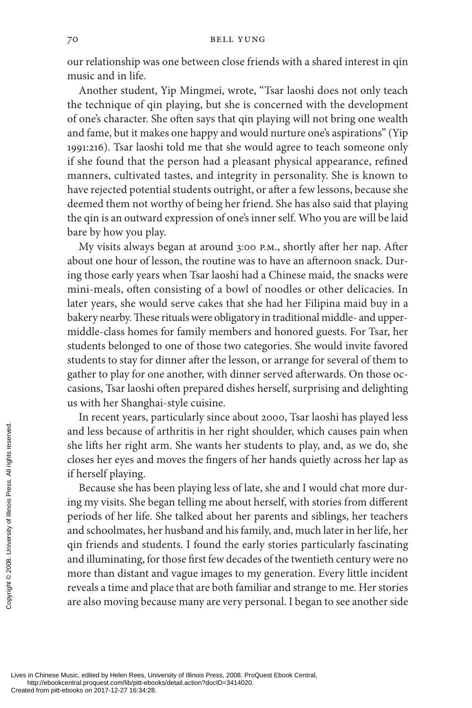our relationship was one between close friends with a shared interest in qin music and in life.

Another student, Yip Mingmei, wrote, "Tsar laoshi does not only teach the technique of qin playing, but she is concerned with the development of one's character. She often says that qin playing will not bring one wealth and fame, but it makes one happy and would nurture one's aspirations" (Yip 1991:216). Tsar laoshi told me that she would agree to teach someone only if she found that the person had a pleasant physical appearance, refined manners, cultivated tastes, and integrity in personality. She is known to have rejected potential students outright, or after a few lessons, because she deemed them not worthy of being her friend. She has also said that playing the qin is an outward expression of one's inner self. Who you are will be laid bare by how you play.

My visits always began at around 3:00 p.m., shortly after her nap. After about one hour of lesson, the routine was to have an afternoon snack. During those early years when Tsar laoshi had a Chinese maid, the snacks were mini-meals, often consisting of a bowl of noodles or other delicacies. In later years, she would serve cakes that she had her Filipina maid buy in a bakery nearby. These rituals were obligatory in traditional middle- and uppermiddle-class homes for family members and honored guests. For Tsar, her students belonged to one of those two categories. She would invite favored students to stay for dinner after the lesson, or arrange for several of them to gather to play for one another, with dinner served afterwards. On those occasions, Tsar laoshi often prepared dishes herself, surprising and delighting us with her Shanghai-style cuisine.

In recent years, particularly since about 2000, Tsar laoshi has played less and less because of arthritis in her right shoulder, which causes pain when she lifts her right arm. She wants her students to play, and, as we do, she closes her eyes and moves the fingers of her hands quietly across her lap as if herself playing.

Because she has been playing less of late, she and I would chat more during my visits. She began telling me about herself, with stories from different periods of her life. She talked about her parents and siblings, her teachers and schoolmates, her husband and his family, and, much later in her life, her qin friends and students. I found the early stories particularly fascinating and illuminating, for those first few decades of the twentieth century were no more than distant and vague images to my generation. Every little incident reveals a time and place that are both familiar and strange to me. Her stories are also moving because many are very personal. I began to see another side Exercise and less because of<br>she lifts her right a<br>closes her eyes and<br>if herself playing.<br>Because she has b<br>ing my visits. She be<br>periods of her life. A<br>and schoolmates, he<br>qin friends and stu-<br>and illuminating, fo<br>more t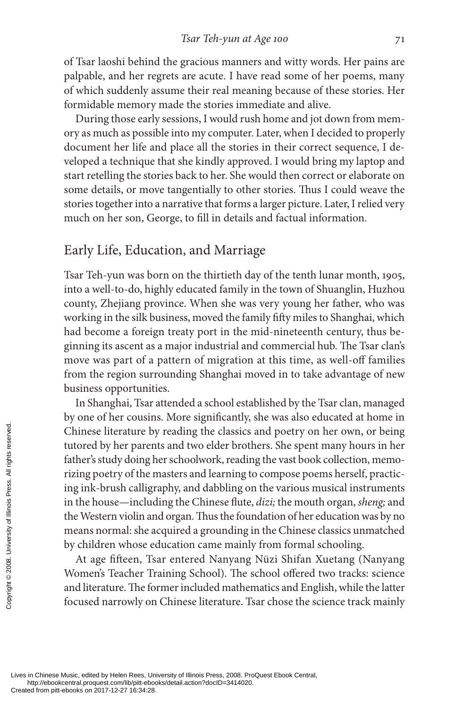of Tsar laoshi behind the gracious manners and witty words. Her pains are palpable, and her regrets are acute. I have read some of her poems, many of which suddenly assume their real meaning because of these stories. Her formidable memory made the stories immediate and alive.

During those early sessions, I would rush home and jot down from memory as much as possible into my computer. Later, when I decided to properly document her life and place all the stories in their correct sequence, I developed a technique that she kindly approved. I would bring my laptop and start retelling the stories back to her. She would then correct or elaborate on some details, or move tangentially to other stories. Thus I could weave the stories together into a narrative that forms a larger picture. Later, I relied very much on her son, George, to fill in details and factual information.

# Early Life, Education, and Marriage

Tsar Teh-yun was born on the thirtieth day of the tenth lunar month, 1905, into a well-to-do, highly educated family in the town of Shuanglin, Huzhou county, Zhejiang province. When she was very young her father, who was working in the silk business, moved the family fifty miles to Shanghai, which had become a foreign treaty port in the mid-nineteenth century, thus beginning its ascent as a major industrial and commercial hub. The Tsar clan's move was part of a pattern of migration at this time, as well-off families from the region surrounding Shanghai moved in to take advantage of new business opportunities.

In Shanghai, Tsar attended a school established by the Tsar clan, managed by one of her cousins. More significantly, she was also educated at home in Chinese literature by reading the classics and poetry on her own, or being tutored by her parents and two elder brothers. She spent many hours in her father's study doing her schoolwork, reading the vast book collection, memorizing poetry of the masters and learning to compose poems herself, practicing ink-brush calligraphy, and dabbling on the various musical instruments in the house—including the Chinese flute, *dizi;* the mouth organ, *sheng;* and the Western violin and organ. Thus the foundation of her education was by no means normal: she acquired a grounding in the Chinese classics unmatched by children whose education came mainly from formal schooling. Created from pitt-ebooks on 2017-12-27 16:34:28.<br>Created from pitt-ebooks on 2017-12-27 16:34:28.<br>Created from pitt-ebooks on 2017-12-27 16:34:28.

At age fifteen, Tsar entered Nanyang Nüzi Shifan Xuetang (Nanyang Women's Teacher Training School). The school offered two tracks: science and literature. The former included mathematics and English, while the latter focused narrowly on Chinese literature. Tsar chose the science track mainly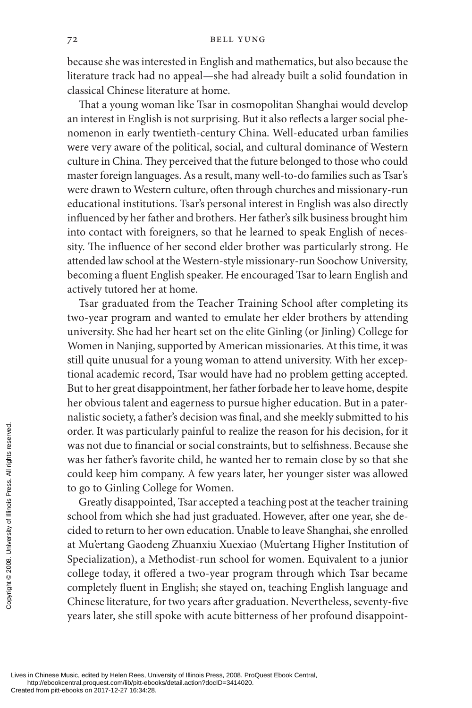because she was interested in English and mathematics, but also because the literature track had no appeal—she had already built a solid foundation in classical Chinese literature at home.

That a young woman like Tsar in cosmopolitan Shanghai would develop an interest in English is not surprising. But it also reflects a larger social phenomenon in early twentieth-century China. Well-educated urban families were very aware of the political, social, and cultural dominance of Western culture in China. They perceived that the future belonged to those who could master foreign languages. As a result, many well-to-do families such as Tsar's were drawn to Western culture, often through churches and missionary-run educational institutions. Tsar's personal interest in English was also directly influenced by her father and brothers. Her father's silk business brought him into contact with foreigners, so that he learned to speak English of necessity. The influence of her second elder brother was particularly strong. He attended law school at the Western-style missionary-run Soochow University, becoming a fluent English speaker. He encouraged Tsar to learn English and actively tutored her at home.

Tsar graduated from the Teacher Training School after completing its two-year program and wanted to emulate her elder brothers by attending university. She had her heart set on the elite Ginling (or Jinling) College for Women in Nanjing, supported by American missionaries. At this time, it was still quite unusual for a young woman to attend university. With her exceptional academic record, Tsar would have had no problem getting accepted. But to her great disappointment, her father forbade her to leave home, despite her obvious talent and eagerness to pursue higher education. But in a paternalistic society, a father's decision was final, and she meekly submitted to his order. It was particularly painful to realize the reason for his decision, for it was not due to financial or social constraints, but to selfishness. Because she was her father's favorite child, he wanted her to remain close by so that she could keep him company. A few years later, her younger sister was allowed to go to Ginling College for Women.

Greatly disappointed, Tsar accepted a teaching post at the teacher training school from which she had just graduated. However, after one year, she decided to return to her own education. Unable to leave Shanghai, she enrolled at Mu'ertang Gaodeng Zhuanxiu Xuexiao (Mu'ertang Higher Institution of Specialization), a Methodist-run school for women. Equivalent to a junior college today, it offered a two-year program through which Tsar became completely fluent in English; she stayed on, teaching English language and Chinese literature, for two years after graduation. Nevertheless, seventy-five years later, she still spoke with acute bitterness of her profound disappoint-From the prince of the created from pitt-ebooks on 2017-12-27 16:34:28.<br>Created from pitt-ebooks on 2017-12-27 16:34:28.<br>Created from pitt-ebooks on 2017-12-27 16:34:28.<br>Created from pitt-ebooks on 2017-12-27 16:34:28.

Lives in Chinese Music, edited by Helen Rees, University of Illinois Press, 2008. ProQuest Ebook Central, http://ebookcentral.proquest.com/lib/pitt-ebooks/detail.action?docID=3414020.<br>Created from pitt-ebooks on 2017-12-27 16:34:28.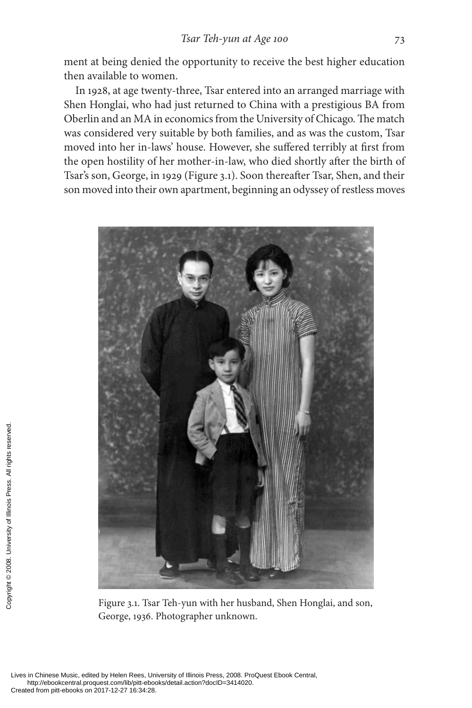ment at being denied the opportunity to receive the best higher education then available to women.

In 1928, at age twenty-three, Tsar entered into an arranged marriage with Shen Honglai, who had just returned to China with a prestigious BA from Oberlin and an MA in economics from the University of Chicago. The match was considered very suitable by both families, and as was the custom, Tsar moved into her in-laws' house. However, she suffered terribly at first from the open hostility of her mother-in-law, who died shortly after the birth of Tsar's son, George, in 1929 (Figure 3.1). Soon thereafter Tsar, Shen, and their son moved into their own apartment, beginning an odyssey of restless moves



Figure 3.1. Tsar Teh-yun with her husband, Shen Honglai, and son, George, 1936. Photographer unknown.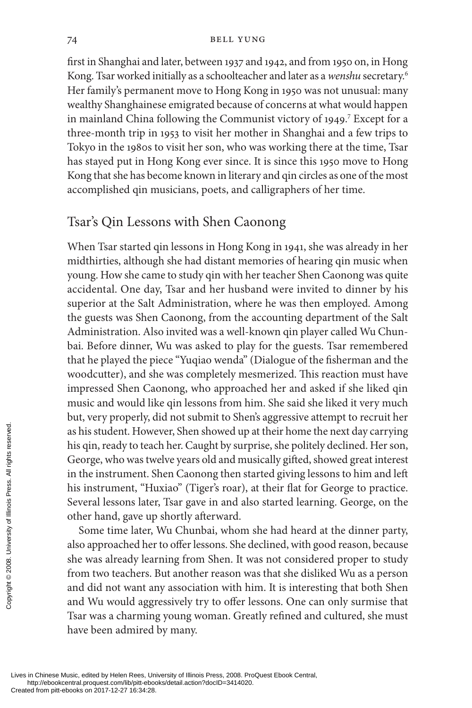first in Shanghai and later, between 1937 and 1942, and from 1950 on, in Hong Kong. Tsar worked initially as a schoolteacher and later as a *wenshu* secretary.6 Her family's permanent move to Hong Kong in 1950 was not unusual: many wealthy Shanghainese emigrated because of concerns at what would happen in mainland China following the Communist victory of 1949.<sup>7</sup> Except for a three-month trip in 1953 to visit her mother in Shanghai and a few trips to Tokyo in the 1980s to visit her son, who was working there at the time, Tsar has stayed put in Hong Kong ever since. It is since this 1950 move to Hong Kong that she has become known in literary and qin circles as one of the most accomplished qin musicians, poets, and calligraphers of her time.

# Tsar's Qin Lessons with Shen Caonong

When Tsar started qin lessons in Hong Kong in 1941, she was already in her midthirties, although she had distant memories of hearing qin music when young. How she came to study qin with her teacher Shen Caonong was quite accidental. One day, Tsar and her husband were invited to dinner by his superior at the Salt Administration, where he was then employed. Among the guests was Shen Caonong, from the accounting department of the Salt Administration. Also invited was a well-known qin player called Wu Chunbai. Before dinner, Wu was asked to play for the guests. Tsar remembered that he played the piece "Yuqiao wenda" (Dialogue of the fisherman and the woodcutter), and she was completely mesmerized. This reaction must have impressed Shen Caonong, who approached her and asked if she liked qin music and would like qin lessons from him. She said she liked it very much but, very properly, did not submit to Shen's aggressive attempt to recruit her as his student. However, Shen showed up at their home the next day carrying his qin, ready to teach her. Caught by surprise, she politely declined. Her son, George, who was twelve years old and musically gifted, showed great interest in the instrument. Shen Caonong then started giving lessons to him and left his instrument, "Huxiao" (Tiger's roar), at their flat for George to practice. Several lessons later, Tsar gave in and also started learning. George, on the other hand, gave up shortly afterward.

Some time later, Wu Chunbai, whom she had heard at the dinner party, also approached her to offer lessons. She declined, with good reason, because she was already learning from Shen. It was not considered proper to study from two teachers. But another reason was that she disliked Wu as a person and did not want any association with him. It is interesting that both Shen and Wu would aggressively try to offer lessons. One can only surmise that Tsar was a charming young woman. Greatly refined and cultured, she must have been admired by many. Exercise the instrument. However is a bis student. However is a correct of the instrument. Shis instrument, "Hu Several lessons later other hand, gave up Some time later, also approached her she was already lean from two t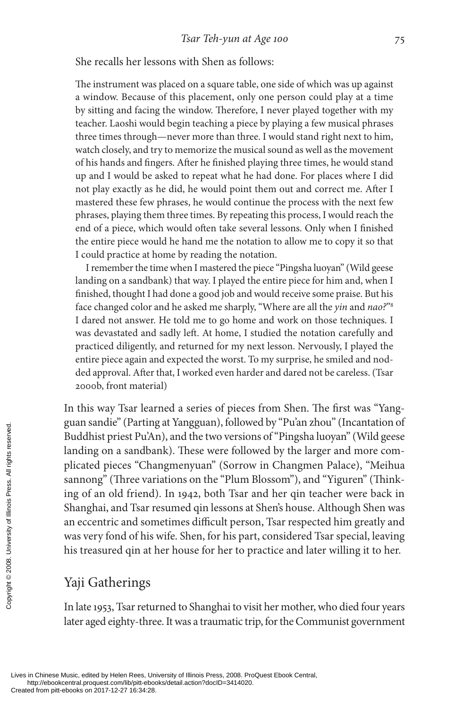She recalls her lessons with Shen as follows:

The instrument was placed on a square table, one side of which was up against a window. Because of this placement, only one person could play at a time by sitting and facing the window. Therefore, I never played together with my teacher. Laoshi would begin teaching a piece by playing a few musical phrases three times through—never more than three. I would stand right next to him, watch closely, and try to memorize the musical sound as well as the movement of his hands and fingers. After he finished playing three times, he would stand up and I would be asked to repeat what he had done. For places where I did not play exactly as he did, he would point them out and correct me. After I mastered these few phrases, he would continue the process with the next few phrases, playing them three times. By repeating this process, I would reach the end of a piece, which would often take several lessons. Only when I finished the entire piece would he hand me the notation to allow me to copy it so that I could practice at home by reading the notation.

I remember the time when I mastered the piece "Pingsha luoyan" (Wild geese landing on a sandbank) that way. I played the entire piece for him and, when I finished, thought I had done a good job and would receive some praise. But his face changed color and he asked me sharply, "Where are all the *yin* and *nao?*"8 I dared not answer. He told me to go home and work on those techniques. I was devastated and sadly left. At home, I studied the notation carefully and practiced diligently, and returned for my next lesson. Nervously, I played the entire piece again and expected the worst. To my surprise, he smiled and nodded approval. After that, I worked even harder and dared not be careless. (Tsar 2000b, front material)

In this way Tsar learned a series of pieces from Shen. The first was "Yangguan sandie" (Parting at Yangguan), followed by "Pu'an zhou" (Incantation of Buddhist priest Pu'An), and the two versions of "Pingsha luoyan" (Wild geese landing on a sandbank). These were followed by the larger and more complicated pieces "Changmenyuan" (Sorrow in Changmen Palace), "Meihua sannong" (Three variations on the "Plum Blossom"), and "Yiguren" (Thinking of an old friend). In 1942, both Tsar and her qin teacher were back in Shanghai, and Tsar resumed qin lessons at Shen's house. Although Shen was an eccentric and sometimes difficult person, Tsar respected him greatly and was very fond of his wife. Shen, for his part, considered Tsar special, leaving his treasured qin at her house for her to practice and later willing it to her. Experimentation and the Created from pitt-ebooks on 2017-12-27 16:34:28.<br>Created from pitt-ebooks on 2017-12-27 16:34:28.<br>Created from pitt-ebooks on 2017-12-27 16:34:28.

# Yaji Gatherings

In late 1953, Tsar returned to Shanghai to visit her mother, who died four years later aged eighty-three. It was a traumatic trip, for the Communist government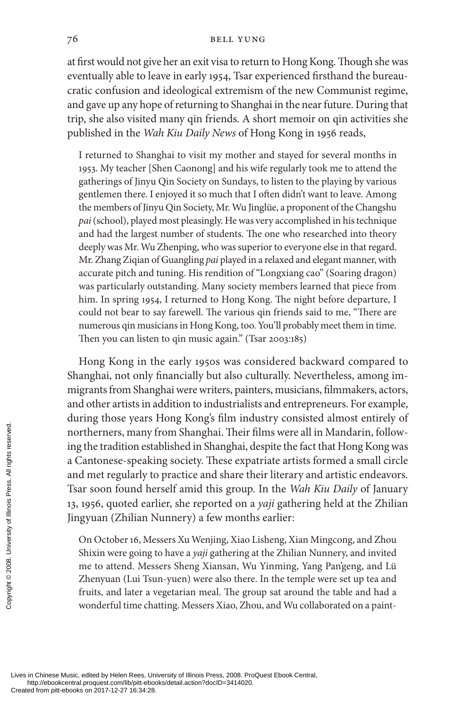at first would not give her an exit visa to return to Hong Kong. Though she was eventually able to leave in early 1954, Tsar experienced firsthand the bureaucratic confusion and ideological extremism of the new Communist regime, and gave up any hope of returning to Shanghai in the near future. During that trip, she also visited many qin friends. A short memoir on qin activities she published in the *Wah Kiu Daily News* of Hong Kong in 1956 reads,

I returned to Shanghai to visit my mother and stayed for several months in 1953. My teacher [Shen Caonong] and his wife regularly took me to attend the gatherings of Jinyu Qin Society on Sundays, to listen to the playing by various gentlemen there. I enjoyed it so much that I often didn't want to leave. Among the members of Jinyu Qin Society, Mr. Wu Jinglüe, a proponent of the Changshu *pai* (school), played most pleasingly. He was very accomplished in his technique and had the largest number of students. The one who researched into theory deeply was Mr. Wu Zhenping, who was superior to everyone else in that regard. Mr. Zhang Ziqian of Guangling *pai* played in a relaxed and elegant manner, with accurate pitch and tuning. His rendition of "Longxiang cao" (Soaring dragon) was particularly outstanding. Many society members learned that piece from him. In spring 1954, I returned to Hong Kong. The night before departure, I could not bear to say farewell. The various qin friends said to me, "There are numerous qin musicians in Hong Kong, too. You'll probably meet them in time. Then you can listen to qin music again." (Tsar 2003:185)

Hong Kong in the early 1950s was considered backward compared to Shanghai, not only financially but also culturally. Nevertheless, among immigrants from Shanghai were writers, painters, musicians, filmmakers, actors, and other artists in addition to industrialists and entrepreneurs. For example, during those years Hong Kong's film industry consisted almost entirely of northerners, many from Shanghai. Their films were all in Mandarin, following the tradition established in Shanghai, despite the fact that Hong Kong was a Cantonese-speaking society. These expatriate artists formed a small circle and met regularly to practice and share their literary and artistic endeavors. Tsar soon found herself amid this group. In the *Wah Kiu Daily* of January 13, 1956, quoted earlier, she reported on a *yaji* gathering held at the Zhilian Jingyuan (Zhilian Nunnery) a few months earlier: Proposes an Contenent of the tradition estate<br>
gradient metallinois and met regularly to<br>
Tsar soon found he<br>
13, 1956, quoted earl<br>
Jingyuan (Zhilian N<br>
Con October 16, Me<br>
Shixin were going t<br>
me to attend. Mess.<br>
Zhenyu

On October 16, Messers Xu Wenjing, Xiao Lisheng, Xian Mingcong, and Zhou Shixin were going to have a *yaji* gathering at the Zhilian Nunnery, and invited me to attend. Messers Sheng Xiansan, Wu Yinming, Yang Pan'geng, and Lü Zhenyuan (Lui Tsun-yuen) were also there. In the temple were set up tea and fruits, and later a vegetarian meal. The group sat around the table and had a wonderful time chatting. Messers Xiao, Zhou, and Wu collaborated on a paint-

Lives in Chinese Music, edited by Helen Rees, University of Illinois Press, 2008. ProQuest Ebook Central, http://ebookcentral.proquest.com/lib/pitt-ebooks/detail.action?docID=3414020.<br>Created from pitt-ebooks on 2017-12-27 16:34:28.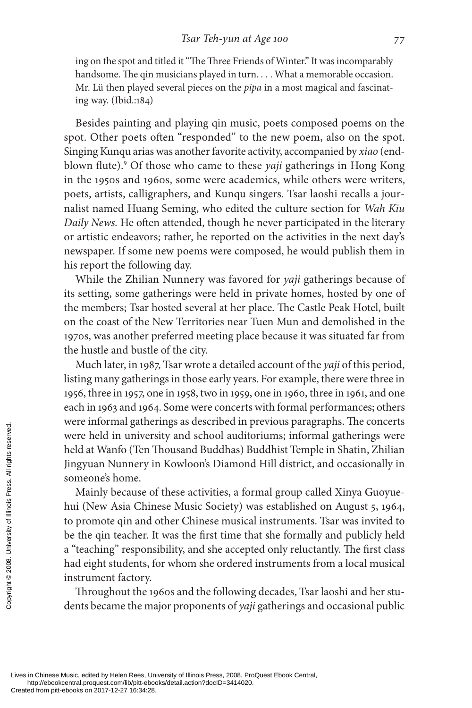ing on the spot and titled it "The Three Friends of Winter." It was incomparably handsome. The qin musicians played in turn. . . . What a memorable occasion. Mr. Lü then played several pieces on the *pipa* in a most magical and fascinating way. (Ibid.:184)

Besides painting and playing qin music, poets composed poems on the spot. Other poets often "responded" to the new poem, also on the spot. Singing Kunqu arias was another favorite activity, accompanied by *xiao* (endblown flute).9 Of those who came to these *yaji* gatherings in Hong Kong in the 1950s and 1960s, some were academics, while others were writers, poets, artists, calligraphers, and Kunqu singers. Tsar laoshi recalls a journalist named Huang Seming, who edited the culture section for *Wah Kiu Daily News.* He often attended, though he never participated in the literary or artistic endeavors; rather, he reported on the activities in the next day's newspaper. If some new poems were composed, he would publish them in his report the following day.

While the Zhilian Nunnery was favored for *yaji* gatherings because of its setting, some gatherings were held in private homes, hosted by one of the members; Tsar hosted several at her place. The Castle Peak Hotel, built on the coast of the New Territories near Tuen Mun and demolished in the 1970s, was another preferred meeting place because it was situated far from the hustle and bustle of the city.

Much later, in 1987, Tsar wrote a detailed account of the *yaji* of this period, listing many gatherings in those early years. For example, there were three in 1956, three in 1957, one in 1958, two in 1959, one in 1960, three in 1961, and one each in 1963 and 1964. Some were concerts with formal performances; others were informal gatherings as described in previous paragraphs. The concerts were held in university and school auditoriums; informal gatherings were held at Wanfo (Ten Thousand Buddhas) Buddhist Temple in Shatin, Zhilian Jingyuan Nunnery in Kowloon's Diamond Hill district, and occasionally in someone's home.

Mainly because of these activities, a formal group called Xinya Guoyuehui (New Asia Chinese Music Society) was established on August 5, 1964, to promote qin and other Chinese musical instruments. Tsar was invited to be the qin teacher. It was the first time that she formally and publicly held a "teaching" responsibility, and she accepted only reluctantly. The first class had eight students, for whom she ordered instruments from a local musical instrument factory. Exerces the transmit particles were held in universed from lingyuan Nunnery is someone's home.<br>
Mainly because of hui (New Asia Chin<br>
to promote qin and do the qin teacher. If<br>
a "teaching" respons thad eight students, for

Throughout the 1960s and the following decades, Tsar laoshi and her students became the major proponents of *yaji* gatherings and occasional public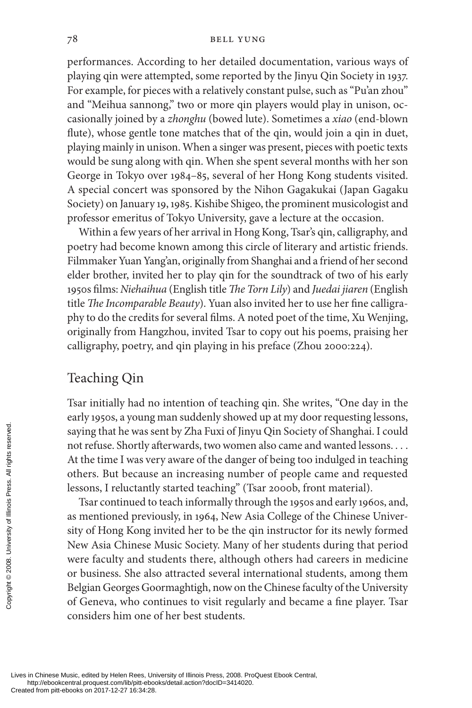performances. According to her detailed documentation, various ways of playing qin were attempted, some reported by the Jinyu Qin Society in 1937. For example, for pieces with a relatively constant pulse, such as "Pu'an zhou" and "Meihua sannong," two or more qin players would play in unison, occasionally joined by a *zhonghu* (bowed lute). Sometimes a *xiao* (end-blown flute), whose gentle tone matches that of the qin, would join a qin in duet, playing mainly in unison. When a singer was present, pieces with poetic texts would be sung along with qin. When she spent several months with her son George in Tokyo over 1984–85, several of her Hong Kong students visited. A special concert was sponsored by the Nihon Gagakukai (Japan Gagaku Society) on January 19, 1985. Kishibe Shigeo, the prominent musicologist and professor emeritus of Tokyo University, gave a lecture at the occasion.

Within a few years of her arrival in Hong Kong, Tsar's qin, calligraphy, and poetry had become known among this circle of literary and artistic friends. Filmmaker Yuan Yang'an, originally from Shanghai and a friend of her second elder brother, invited her to play qin for the soundtrack of two of his early 1950s films: *Niehaihua* (English title *The Torn Lily*) and *Juedai jiaren* (English title *The Incomparable Beauty*). Yuan also invited her to use her fine calligraphy to do the credits for several films. A noted poet of the time, Xu Wenjing, originally from Hangzhou, invited Tsar to copy out his poems, praising her calligraphy, poetry, and qin playing in his preface (Zhou 2000:224).

# Teaching Qin

Tsar initially had no intention of teaching qin. She writes, "One day in the early 1950s, a young man suddenly showed up at my door requesting lessons, saying that he was sent by Zha Fuxi of Jinyu Qin Society of Shanghai. I could not refuse. Shortly afterwards, two women also came and wanted lessons. . . . At the time I was very aware of the danger of being too indulged in teaching others. But because an increasing number of people came and requested lessons, I reluctantly started teaching" (Tsar 2000b, front material).

Tsar continued to teach informally through the 1950s and early 1960s, and, as mentioned previously, in 1964, New Asia College of the Chinese University of Hong Kong invited her to be the qin instructor for its newly formed New Asia Chinese Music Society. Many of her students during that period were faculty and students there, although others had careers in medicine or business. She also attracted several international students, among them Belgian Georges Goormaghtigh, now on the Chinese faculty of the University of Geneva, who continues to visit regularly and became a fine player. Tsar considers him one of her best students. Exercise Saying that he was so<br>
not refuse. Shortly a<br>
At the time I was ve<br>
others. But because<br>
lessons, I reluctantly<br>
Tsar continued to<br>
as mentioned previously of Hong Kong i<br>
New Asia Chinese I<br>
were faculty and stru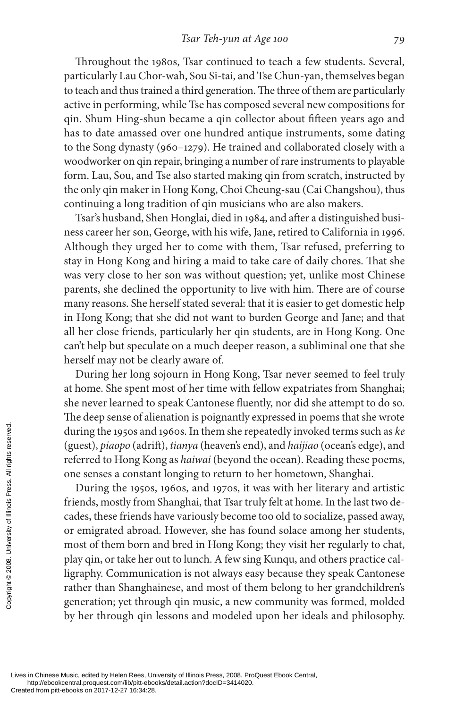Throughout the 1980s, Tsar continued to teach a few students. Several, particularly Lau Chor-wah, Sou Si-tai, and Tse Chun-yan, themselves began to teach and thus trained a third generation. The three of them are particularly active in performing, while Tse has composed several new compositions for qin. Shum Hing-shun became a qin collector about fifteen years ago and has to date amassed over one hundred antique instruments, some dating to the Song dynasty (960–1279). He trained and collaborated closely with a woodworker on qin repair, bringing a number of rare instruments to playable form. Lau, Sou, and Tse also started making qin from scratch, instructed by the only qin maker in Hong Kong, Choi Cheung-sau (Cai Changshou), thus continuing a long tradition of qin musicians who are also makers.

Tsar's husband, Shen Honglai, died in 1984, and after a distinguished business career her son, George, with his wife, Jane, retired to California in 1996. Although they urged her to come with them, Tsar refused, preferring to stay in Hong Kong and hiring a maid to take care of daily chores. That she was very close to her son was without question; yet, unlike most Chinese parents, she declined the opportunity to live with him. There are of course many reasons. She herself stated several: that it is easier to get domestic help in Hong Kong; that she did not want to burden George and Jane; and that all her close friends, particularly her qin students, are in Hong Kong. One can't help but speculate on a much deeper reason, a subliminal one that she herself may not be clearly aware of.

During her long sojourn in Hong Kong, Tsar never seemed to feel truly at home. She spent most of her time with fellow expatriates from Shanghai; she never learned to speak Cantonese fluently, nor did she attempt to do so. The deep sense of alienation is poignantly expressed in poems that she wrote during the 1950s and 1960s. In them she repeatedly invoked terms such as *ke* (guest), *piaopo* (adrift), *tianya* (heaven's end), and *haijiao* (ocean's edge), and referred to Hong Kong as *haiwai* (beyond the ocean). Reading these poems, one senses a constant longing to return to her hometown, Shanghai.

During the 1950s, 1960s, and 1970s, it was with her literary and artistic friends, mostly from Shanghai, that Tsar truly felt at home. In the last two decades, these friends have variously become too old to socialize, passed away, or emigrated abroad. However, she has found solace among her students, most of them born and bred in Hong Kong; they visit her regularly to chat, play qin, or take her out to lunch. A few sing Kunqu, and others practice calligraphy. Communication is not always easy because they speak Cantonese rather than Shanghainese, and most of them belong to her grandchildren's generation; yet through qin music, a new community was formed, molded by her through qin lessons and modeled upon her ideals and philosophy. Exercise the space of them born and play connection of the space of the space of the space of the space of the space of the space of the space of the space of the space of the space of the space of the space of the space o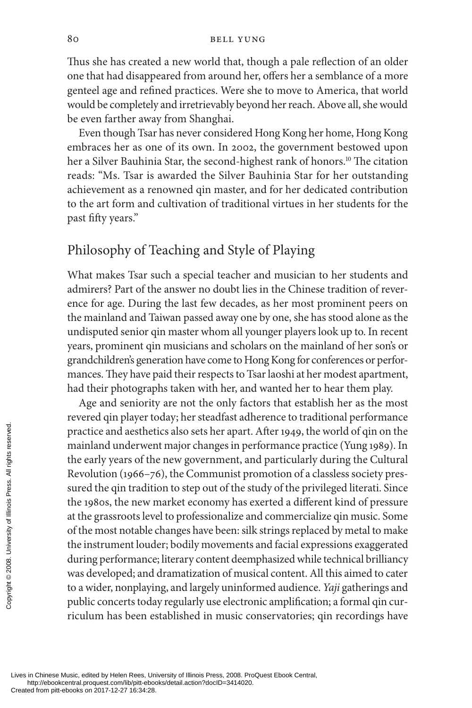Thus she has created a new world that, though a pale reflection of an older one that had disappeared from around her, offers her a semblance of a more genteel age and refined practices. Were she to move to America, that world would be completely and irretrievably beyond her reach. Above all, she would be even farther away from Shanghai.

Even though Tsar has never considered Hong Kong her home, Hong Kong embraces her as one of its own. In 2002, the government bestowed upon her a Silver Bauhinia Star, the second-highest rank of honors.<sup>10</sup> The citation reads: "Ms. Tsar is awarded the Silver Bauhinia Star for her outstanding achievement as a renowned qin master, and for her dedicated contribution to the art form and cultivation of traditional virtues in her students for the past fifty years."

# Philosophy of Teaching and Style of Playing

What makes Tsar such a special teacher and musician to her students and admirers? Part of the answer no doubt lies in the Chinese tradition of reverence for age. During the last few decades, as her most prominent peers on the mainland and Taiwan passed away one by one, she has stood alone as the undisputed senior qin master whom all younger players look up to. In recent years, prominent qin musicians and scholars on the mainland of her son's or grandchildren's generation have come to Hong Kong for conferences or performances. They have paid their respects to Tsar laoshi at her modest apartment, had their photographs taken with her, and wanted her to hear them play.

Age and seniority are not the only factors that establish her as the most revered qin player today; her steadfast adherence to traditional performance practice and aesthetics also sets her apart. After 1949, the world of qin on the mainland underwent major changes in performance practice (Yung 1989). In the early years of the new government, and particularly during the Cultural Revolution (1966–76), the Communist promotion of a classless society pressured the qin tradition to step out of the study of the privileged literati. Since the 1980s, the new market economy has exerted a different kind of pressure at the grassroots level to professionalize and commercialize qin music. Some of the most notable changes have been: silk strings replaced by metal to make the instrument louder; bodily movements and facial expressions exaggerated during performance; literary content deemphasized while technical brilliancy was developed; and dramatization of musical content. All this aimed to cater to a wider, nonplaying, and largely uninformed audience. *Yaji* gatherings and public concerts today regularly use electronic amplification; a formal qin curriculum has been established in music conservatories; qin recordings have Practice and aesthet<br>
mainland underwer<br>
the early years of the<br>
Revolution (1966–7<br>
sured the qin traditi<br>
the 1980s, the new r<br>
at the grassroots leve<br>
of the most notable of<br>
the instrument loud<br>
during performance<br>
was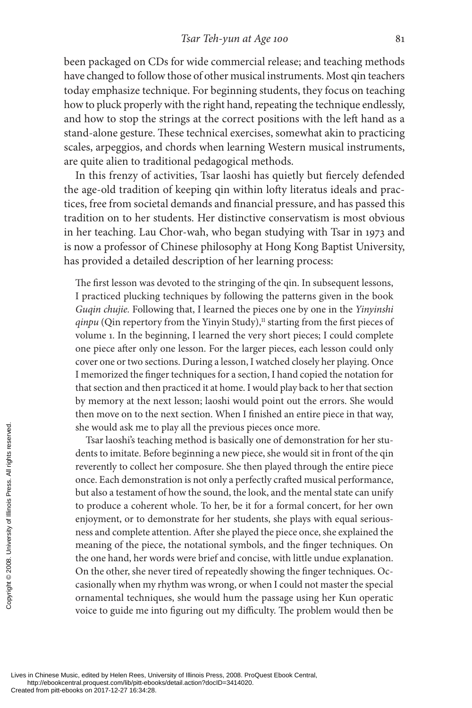been packaged on CDs for wide commercial release; and teaching methods have changed to follow those of other musical instruments. Most qin teachers today emphasize technique. For beginning students, they focus on teaching how to pluck properly with the right hand, repeating the technique endlessly, and how to stop the strings at the correct positions with the left hand as a stand-alone gesture. These technical exercises, somewhat akin to practicing scales, arpeggios, and chords when learning Western musical instruments, are quite alien to traditional pedagogical methods.

In this frenzy of activities, Tsar laoshi has quietly but fiercely defended the age-old tradition of keeping qin within lofty literatus ideals and practices, free from societal demands and financial pressure, and has passed this tradition on to her students. Her distinctive conservatism is most obvious in her teaching. Lau Chor-wah, who began studying with Tsar in 1973 and is now a professor of Chinese philosophy at Hong Kong Baptist University, has provided a detailed description of her learning process:

The first lesson was devoted to the stringing of the qin. In subsequent lessons, I practiced plucking techniques by following the patterns given in the book *Guqin chujie.* Following that, I learned the pieces one by one in the *Yinyinshi*   $q$ *inpu* (Qin repertory from the Yinyin Study), $<sup>11</sup>$  starting from the first pieces of</sup> volume 1. In the beginning, I learned the very short pieces; I could complete one piece after only one lesson. For the larger pieces, each lesson could only cover one or two sections. During a lesson, I watched closely her playing. Once I memorized the finger techniques for a section, I hand copied the notation for that section and then practiced it at home. I would play back to her that section by memory at the next lesson; laoshi would point out the errors. She would then move on to the next section. When I finished an entire piece in that way, she would ask me to play all the previous pieces once more.

Tsar laoshi's teaching method is basically one of demonstration for her students to imitate. Before beginning a new piece, she would sit in front of the qin reverently to collect her composure. She then played through the entire piece once. Each demonstration is not only a perfectly crafted musical performance, but also a testament of how the sound, the look, and the mental state can unify to produce a coherent whole. To her, be it for a formal concert, for her own enjoyment, or to demonstrate for her students, she plays with equal seriousness and complete attention. After she played the piece once, she explained the meaning of the piece, the notational symbols, and the finger techniques. On the one hand, her words were brief and concise, with little undue explanation. On the other, she never tired of repeatedly showing the finger techniques. Occasionally when my rhythm was wrong, or when I could not master the special ornamental techniques, she would hum the passage using her Kun operatic voice to guide me into figuring out my difficulty. The problem would then be See the would ask me to<br>
Tsar laoshi's teach<br>
dents to imitate. Bef<br>
reverently to collect<br>
once. Each demonst<br>
but also a testament<br>
to produce a cohere<br>
enjoyment, or to de<br>
ness and complete a<br>
meaning of the piec<br>
the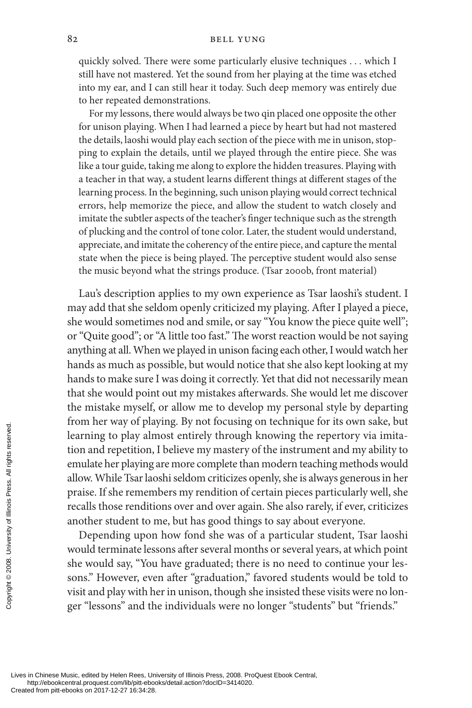quickly solved. There were some particularly elusive techniques . . . which I still have not mastered. Yet the sound from her playing at the time was etched into my ear, and I can still hear it today. Such deep memory was entirely due to her repeated demonstrations.

For my lessons, there would always be two qin placed one opposite the other for unison playing. When I had learned a piece by heart but had not mastered the details, laoshi would play each section of the piece with me in unison, stopping to explain the details, until we played through the entire piece. She was like a tour guide, taking me along to explore the hidden treasures. Playing with a teacher in that way, a student learns different things at different stages of the learning process. In the beginning, such unison playing would correct technical errors, help memorize the piece, and allow the student to watch closely and imitate the subtler aspects of the teacher's finger technique such as the strength of plucking and the control of tone color. Later, the student would understand, appreciate, and imitate the coherency of the entire piece, and capture the mental state when the piece is being played. The perceptive student would also sense the music beyond what the strings produce. (Tsar 2000b, front material)

Lau's description applies to my own experience as Tsar laoshi's student. I may add that she seldom openly criticized my playing. After I played a piece, she would sometimes nod and smile, or say "You know the piece quite well"; or "Quite good"; or "A little too fast." The worst reaction would be not saying anything at all. When we played in unison facing each other, I would watch her hands as much as possible, but would notice that she also kept looking at my hands to make sure I was doing it correctly. Yet that did not necessarily mean that she would point out my mistakes afterwards. She would let me discover the mistake myself, or allow me to develop my personal style by departing from her way of playing. By not focusing on technique for its own sake, but learning to play almost entirely through knowing the repertory via imitation and repetition, I believe my mastery of the instrument and my ability to emulate her playing are more complete than modern teaching methods would allow. While Tsar laoshi seldom criticizes openly, she is always generous in her praise. If she remembers my rendition of certain pieces particularly well, she recalls those renditions over and over again. She also rarely, if ever, criticizes another student to me, but has good things to say about everyone. Example the monder of pitting to play alm<br>
tion and repetition,<br>
emulate her playing<br>
allow. While Tsar lac<br>
praise. If she remem<br>
recalls those rendition<br>
another student to r<br>
Depending upon<br>
would terminate les:<br>
she wo

Depending upon how fond she was of a particular student, Tsar laoshi would terminate lessons after several months or several years, at which point she would say, "You have graduated; there is no need to continue your lessons." However, even after "graduation," favored students would be told to visit and play with her in unison, though she insisted these visits were no longer "lessons" and the individuals were no longer "students" but "friends."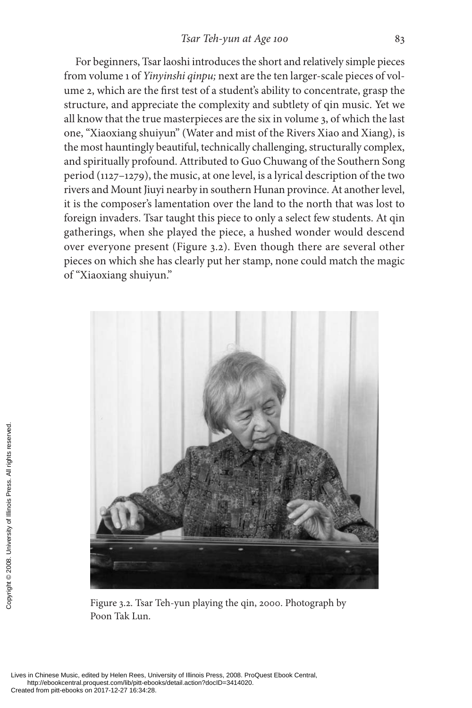For beginners, Tsar laoshi introduces the short and relatively simple pieces from volume 1 of *Yinyinshi qinpu;* next are the ten larger-scale pieces of volume 2, which are the first test of a student's ability to concentrate, grasp the structure, and appreciate the complexity and subtlety of qin music. Yet we all know that the true masterpieces are the six in volume 3, of which the last one, "Xiaoxiang shuiyun" (Water and mist of the Rivers Xiao and Xiang), is the most hauntingly beautiful, technically challenging, structurally complex, and spiritually profound. Attributed to Guo Chuwang of the Southern Song period (1127–1279), the music, at one level, is a lyrical description of the two rivers and Mount Jiuyi nearby in southern Hunan province. At another level, it is the composer's lamentation over the land to the north that was lost to foreign invaders. Tsar taught this piece to only a select few students. At qin gatherings, when she played the piece, a hushed wonder would descend over everyone present (Figure 3.2). Even though there are several other pieces on which she has clearly put her stamp, none could match the magic of "Xiaoxiang shuiyun."



Figure 3.2. Tsar Teh-yun playing the qin, 2000. Photograph by Poon Tak Lun.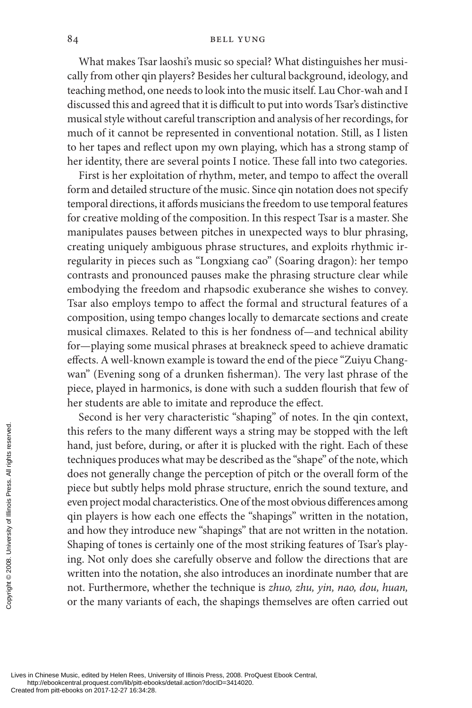What makes Tsar laoshi's music so special? What distinguishes her musically from other qin players? Besides her cultural background, ideology, and teaching method, one needs to look into the music itself. Lau Chor-wah and I discussed this and agreed that it is difficult to put into words Tsar's distinctive musical style without careful transcription and analysis of her recordings, for much of it cannot be represented in conventional notation. Still, as I listen to her tapes and reflect upon my own playing, which has a strong stamp of her identity, there are several points I notice. These fall into two categories.

First is her exploitation of rhythm, meter, and tempo to affect the overall form and detailed structure of the music. Since qin notation does not specify temporal directions, it affords musicians the freedom to use temporal features for creative molding of the composition. In this respect Tsar is a master. She manipulates pauses between pitches in unexpected ways to blur phrasing, creating uniquely ambiguous phrase structures, and exploits rhythmic irregularity in pieces such as "Longxiang cao" (Soaring dragon): her tempo contrasts and pronounced pauses make the phrasing structure clear while embodying the freedom and rhapsodic exuberance she wishes to convey. Tsar also employs tempo to affect the formal and structural features of a composition, using tempo changes locally to demarcate sections and create musical climaxes. Related to this is her fondness of—and technical ability for—playing some musical phrases at breakneck speed to achieve dramatic effects. A well-known example is toward the end of the piece "Zuiyu Changwan" (Evening song of a drunken fisherman). The very last phrase of the piece, played in harmonics, is done with such a sudden flourish that few of her students are able to imitate and reproduce the effect.

Second is her very characteristic "shaping" of notes. In the qin context, this refers to the many different ways a string may be stopped with the left hand, just before, during, or after it is plucked with the right. Each of these techniques produces what may be described as the "shape" of the note, which does not generally change the perception of pitch or the overall form of the piece but subtly helps mold phrase structure, enrich the sound texture, and even project modal characteristics. One of the most obvious differences among qin players is how each one effects the "shapings" written in the notation, and how they introduce new "shapings" that are not written in the notation. Shaping of tones is certainly one of the most striking features of Tsar's playing. Not only does she carefully observe and follow the directions that are written into the notation, she also introduces an inordinate number that are not. Furthermore, whether the technique is *zhuo, zhu, yin, nao, dou, huan,* or the many variants of each, the shapings themselves are often carried out The matrix of the matrix of the matrix of the matrix of the chiniques produce:<br>
does not generally copiece but subtly help<br>
even project modal compreserved. The even project modal compress is how and how they introcompress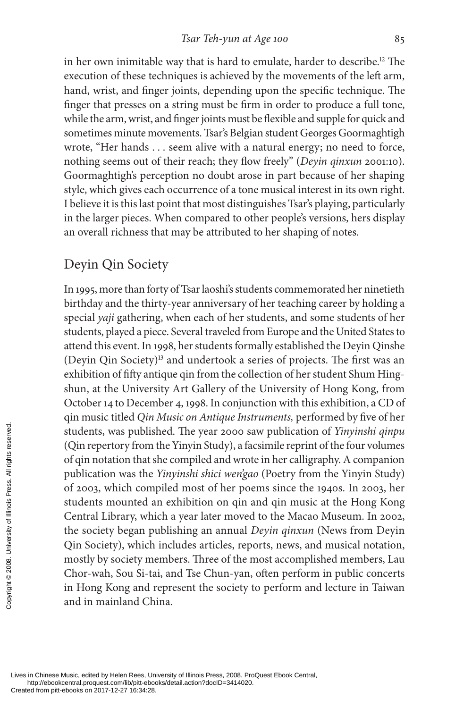in her own inimitable way that is hard to emulate, harder to describe.<sup>12</sup> The execution of these techniques is achieved by the movements of the left arm, hand, wrist, and finger joints, depending upon the specific technique. The finger that presses on a string must be firm in order to produce a full tone, while the arm, wrist, and finger joints must be flexible and supple for quick and sometimes minute movements. Tsar's Belgian student Georges Goormaghtigh wrote, "Her hands . . . seem alive with a natural energy; no need to force, nothing seems out of their reach; they flow freely" (*Deyin qinxun* 2001:10). Goormaghtigh's perception no doubt arose in part because of her shaping style, which gives each occurrence of a tone musical interest in its own right. I believe it is this last point that most distinguishes Tsar's playing, particularly in the larger pieces. When compared to other people's versions, hers display an overall richness that may be attributed to her shaping of notes.

# Deyin Qin Society

In 1995, more than forty of Tsar laoshi's students commemorated her ninetieth birthday and the thirty-year anniversary of her teaching career by holding a special *yaji* gathering, when each of her students, and some students of her students, played a piece. Several traveled from Europe and the United States to attend this event. In 1998, her students formally established the Deyin Qinshe (Deyin Qin Society)13 and undertook a series of projects. The first was an exhibition of fifty antique qin from the collection of her student Shum Hingshun, at the University Art Gallery of the University of Hong Kong, from October 14 to December 4, 1998. In conjunction with this exhibition, a CD of qin music titled *Qin Music on Antique Instruments,* performed by five of her students, was published. The year 2000 saw publication of *Yinyinshi qinpu* (Qin repertory from the Yinyin Study), a facsimile reprint of the four volumes of qin notation that she compiled and wrote in her calligraphy. A companion publication was the *Yinyinshi shici wen'gao* (Poetry from the Yinyin Study) of 2003, which compiled most of her poems since the 1940s. In 2003, her students mounted an exhibition on qin and qin music at the Hong Kong Central Library, which a year later moved to the Macao Museum. In 2002, the society began publishing an annual *Deyin qinxun* (News from Deyin Qin Society), which includes articles, reports, news, and musical notation, mostly by society members. Three of the most accomplished members, Lau Chor-wah, Sou Si-tai, and Tse Chun-yan, often perform in public concerts in Hong Kong and represent the society to perform and lecture in Taiwan and in mainland China. From the pitt-ebooks on 2017-12-27 16:34:28.<br>Created from pitt-ebooks on 2017-12-27 16:34:28.<br>Created from pitt-ebooks on 2017-12-27 16:34:28.<br>Created from pitt-ebooks on 2017-12-27 16:34:28.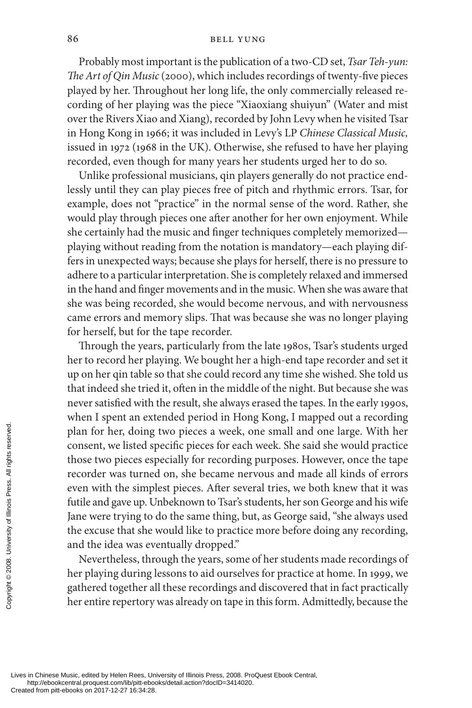Probably most important is the publication of a two-CD set, *Tsar Teh-yun: The Art of Qin Music* (2000), which includes recordings of twenty-five pieces played by her. Throughout her long life, the only commercially released recording of her playing was the piece "Xiaoxiang shuiyun" (Water and mist over the Rivers Xiao and Xiang), recorded by John Levy when he visited Tsar in Hong Kong in 1966; it was included in Levy's LP *Chinese Classical Music,* issued in 1972 (1968 in the UK). Otherwise, she refused to have her playing recorded, even though for many years her students urged her to do so.

Unlike professional musicians, qin players generally do not practice endlessly until they can play pieces free of pitch and rhythmic errors. Tsar, for example, does not "practice" in the normal sense of the word. Rather, she would play through pieces one after another for her own enjoyment. While she certainly had the music and finger techniques completely memorized playing without reading from the notation is mandatory—each playing differs in unexpected ways; because she plays for herself, there is no pressure to adhere to a particular interpretation. She is completely relaxed and immersed in the hand and finger movements and in the music. When she was aware that she was being recorded, she would become nervous, and with nervousness came errors and memory slips. That was because she was no longer playing for herself, but for the tape recorder.

Through the years, particularly from the late 1980s, Tsar's students urged her to record her playing. We bought her a high-end tape recorder and set it up on her qin table so that she could record any time she wished. She told us that indeed she tried it, often in the middle of the night. But because she was never satisfied with the result, she always erased the tapes. In the early 1990s, when I spent an extended period in Hong Kong, I mapped out a recording plan for her, doing two pieces a week, one small and one large. With her consent, we listed specific pieces for each week. She said she would practice those two pieces especially for recording purposes. However, once the tape recorder was turned on, she became nervous and made all kinds of errors even with the simplest pieces. After several tries, we both knew that it was futile and gave up. Unbeknown to Tsar's students, her son George and his wife Jane were trying to do the same thing, but, as George said, "she always used the excuse that she would like to practice more before doing any recording, and the idea was eventually dropped." Peak and the idea was three measures in the simple from pitt-ebooks on 2017-12-27 16:34:28. Created from pitt-ebooks on 2017-12-27 16:34:28. Created from pitt-ebooks on 2017-12-27 16:34:28.

Nevertheless, through the years, some of her students made recordings of her playing during lessons to aid ourselves for practice at home. In 1999, we gathered together all these recordings and discovered that in fact practically her entire repertory was already on tape in this form. Admittedly, because the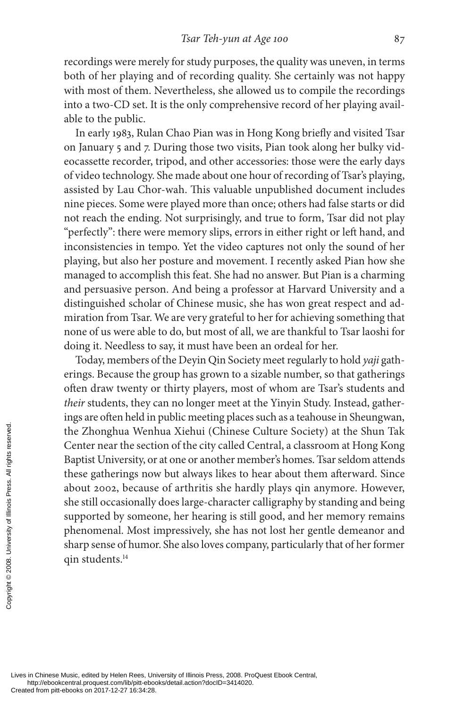recordings were merely for study purposes, the quality was uneven, in terms both of her playing and of recording quality. She certainly was not happy with most of them. Nevertheless, she allowed us to compile the recordings into a two-CD set. It is the only comprehensive record of her playing available to the public.

In early 1983, Rulan Chao Pian was in Hong Kong briefly and visited Tsar on January 5 and 7. During those two visits, Pian took along her bulky videocassette recorder, tripod, and other accessories: those were the early days of video technology. She made about one hour of recording of Tsar's playing, assisted by Lau Chor-wah. This valuable unpublished document includes nine pieces. Some were played more than once; others had false starts or did not reach the ending. Not surprisingly, and true to form, Tsar did not play "perfectly": there were memory slips, errors in either right or left hand, and inconsistencies in tempo. Yet the video captures not only the sound of her playing, but also her posture and movement. I recently asked Pian how she managed to accomplish this feat. She had no answer. But Pian is a charming and persuasive person. And being a professor at Harvard University and a distinguished scholar of Chinese music, she has won great respect and admiration from Tsar. We are very grateful to her for achieving something that none of us were able to do, but most of all, we are thankful to Tsar laoshi for doing it. Needless to say, it must have been an ordeal for her.

Today, members of the Deyin Qin Society meet regularly to hold *yaji* gatherings. Because the group has grown to a sizable number, so that gatherings often draw twenty or thirty players, most of whom are Tsar's students and *their* students, they can no longer meet at the Yinyin Study. Instead, gatherings are often held in public meeting places such as a teahouse in Sheungwan, the Zhonghua Wenhua Xiehui (Chinese Culture Society) at the Shun Tak Center near the section of the city called Central, a classroom at Hong Kong Baptist University, or at one or another member's homes. Tsar seldom attends these gatherings now but always likes to hear about them afterward. Since about 2002, because of arthritis she hardly plays qin anymore. However, she still occasionally does large-character calligraphy by standing and being supported by someone, her hearing is still good, and her memory remains phenomenal. Most impressively, she has not lost her gentle demeanor and sharp sense of humor. She also loves company, particularly that of her former qin students.14 The Extraction Center near the sections of the Extractions of these gatherings not about 2002, because<br>the still occasionally supported by someoral phenomenal. Most is sharp sense of humoin qin students.<sup>14</sup><br>allows all str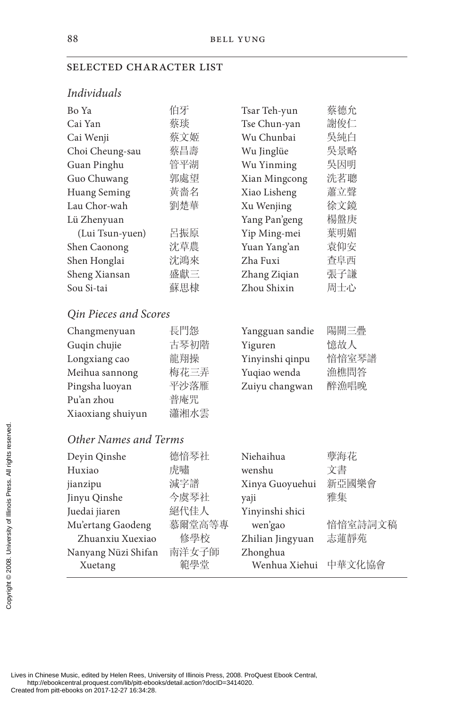#### Selected Character List

#### *Individuals*

| Bo Ya                 | 伯牙     | Tsar Teh-yun     | 蔡德允     |
|-----------------------|--------|------------------|---------|
| Cai Yan               | 蔡琰     | Tse Chun-yan     | 謝俊仁     |
| Cai Wenji             | 蔡文姬    | Wu Chunbai       | 吳純白     |
| Choi Cheung-sau       | 蔡昌壽    | Wu Jinglüe       | 吳景略     |
| Guan Pinghu           | 管平湖    | Wu Yinming       | 吳因明     |
| Guo Chuwang           | 郭處望    | Xian Mingcong    | 洗茗聰     |
| Huang Seming          | 黄嗇名    | Xiao Lisheng     | 蕭立聲     |
| Lau Chor-wah          | 劉楚華    | Xu Wenjing       | 徐文鏡     |
| Lü Zhenyuan           |        | Yang Pan'geng    | 楊盤庚     |
| (Lui Tsun-yuen)       | 呂振原    | Yip Ming-mei     | 葉明媚     |
| Shen Caonong          | 沈草農    | Yuan Yang'an     | 袁仰安     |
| Shen Honglai          | 沈鴻來    | Zha Fuxi         | 查阜西     |
| Sheng Xiansan         | 盛獻三    | Zhang Ziqian     | 張子謙     |
| Sou Si-tai            | 蘇思棣    | Zhou Shixin      | 周士心     |
| Qin Pieces and Scores |        |                  |         |
| Changmenyuan          | 長門怨    | Yangguan sandie  | 陽關三疊    |
| Guqin chujie          | 古琴初階   | Yiguren          | 憶故人     |
| Longxiang cao         | 龍翔操    | Yinyinshi qinpu  | 愔愔室琴譜   |
| Meihua sannong        | 梅花三弄   | Yuqiao wenda     | 漁樵問答    |
| Pingsha luoyan        | 平沙落雁   | Zuiyu changwan   | 醉漁唱晚    |
| Pu'an zhou            | 普庵咒    |                  |         |
| Xiaoxiang shuiyun     | 瀟湘水雲   |                  |         |
| Other Names and Terms |        |                  |         |
| Deyin Qinshe          | 德愔琴社   | Niehaihua        | 孽海花     |
| Huxiao                | 虎嘯     | wenshu           | 文書      |
| jianzipu              | 減字譜    | Xinya Guoyuehui  | 新亞國樂會   |
| Jinyu Qinshe          | 今虞琴社   | yaji             | 雅集      |
| Juedai jiaren         | 絕代佳人   | Yinyinshi shici  |         |
| Mu'ertang Gaodeng     | 慕爾堂高等專 | wen'gao          | 愔愔室詩詞文稿 |
| Zhuanxiu Xuexiao      | 修學校    | Zhilian Jingyuan | 志蓮靜苑    |
| Nanyang Nüzi Shifan   | 南洋女子師  | Zhonghua         |         |
| Xuetang               | 範學堂    | Wenhua Xiehui    | 中華文化協會  |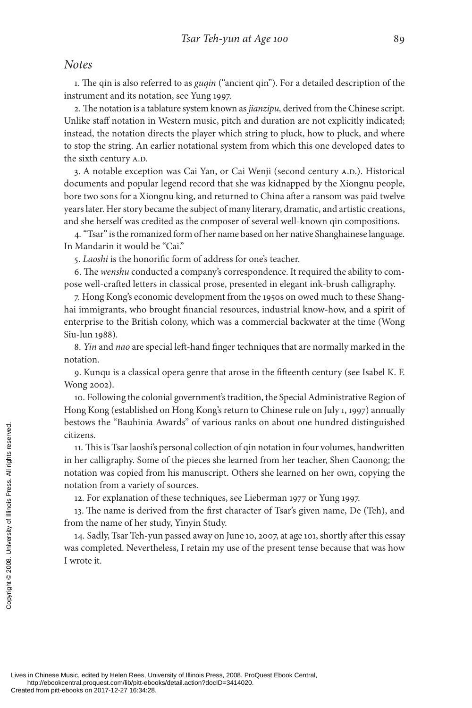#### *Notes*

1. The qin is also referred to as *guqin* ("ancient qin"). For a detailed description of the instrument and its notation, see Yung 1997.

2. The notation is a tablature system known as *jianzipu,* derived from the Chinese script. Unlike staff notation in Western music, pitch and duration are not explicitly indicated; instead, the notation directs the player which string to pluck, how to pluck, and where to stop the string. An earlier notational system from which this one developed dates to the sixth century A.D.

3. A notable exception was Cai Yan, or Cai Wenji (second century A.D.). Historical documents and popular legend record that she was kidnapped by the Xiongnu people, bore two sons for a Xiongnu king, and returned to China after a ransom was paid twelve years later. Her story became the subject of many literary, dramatic, and artistic creations, and she herself was credited as the composer of several well-known qin compositions.

4. "Tsar" is the romanized form of her name based on her native Shanghainese language. In Mandarin it would be "Cai."

5. *Laoshi* is the honorific form of address for one's teacher.

6. The *wenshu* conducted a company's correspondence. It required the ability to compose well-crafted letters in classical prose, presented in elegant ink-brush calligraphy.

7. Hong Kong's economic development from the 1950s on owed much to these Shanghai immigrants, who brought financial resources, industrial know-how, and a spirit of enterprise to the British colony, which was a commercial backwater at the time (Wong Siu-lun 1988).

8. *Yin* and *nao* are special left-hand finger techniques that are normally marked in the notation.

9. Kunqu is a classical opera genre that arose in the fifteenth century (see Isabel K. F. Wong 2002).

10. Following the colonial government's tradition, the Special Administrative Region of Hong Kong (established on Hong Kong's return to Chinese rule on July 1, 1997) annually bestows the "Bauhinia Awards" of various ranks on about one hundred distinguished citizens.

11. This is Tsar laoshi's personal collection of qin notation in four volumes, handwritten in her calligraphy. Some of the pieces she learned from her teacher, Shen Caonong; the notation was copied from his manuscript. Others she learned on her own, copying the notation from a variety of sources. CREATE SERVERT CREATED FOR THE PAINTING CREATED THE SERVERT CONDUCTS TO THE PAINTING THE SERVERT TO THE SURVERT TO THE PAINT OF THE SURVERT TO THE SURVERT TO THE SURVERT TO THE SURVERT TO THE SURVERT TO THE SURVERT TO THE

12. For explanation of these techniques, see Lieberman 1977 or Yung 1997.

13. The name is derived from the first character of Tsar's given name, De (Teh), and from the name of her study, Yinyin Study.

14. Sadly, Tsar Teh-yun passed away on June 10, 2007, at age 101, shortly after this essay was completed. Nevertheless, I retain my use of the present tense because that was how I wrote it.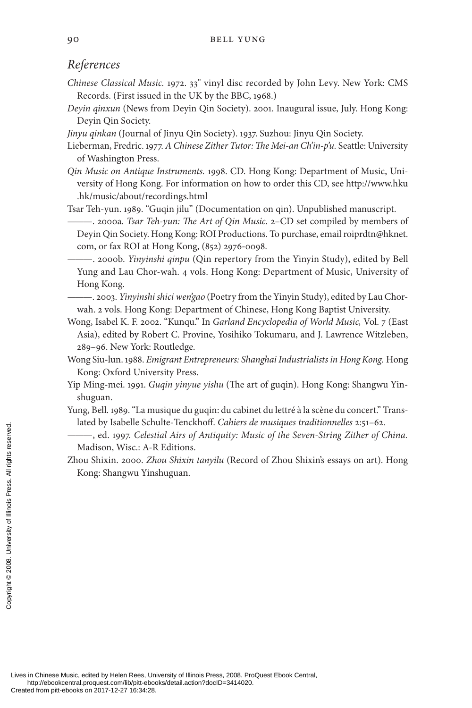#### *References*

- *Chinese Classical Music.* 1972. 33" vinyl disc recorded by John Levy. New York: CMS Records. (First issued in the UK by the BBC, 1968.)
- *Deyin qinxun* (News from Deyin Qin Society). 2001. Inaugural issue, July. Hong Kong: Deyin Qin Society.

*Jinyu qinkan* (Journal of Jinyu Qin Society). 1937. Suzhou: Jinyu Qin Society.

- Lieberman, Fredric. 1977. *A Chinese Zither Tutor: The Mei-an Ch'in-p'u.* Seattle: University of Washington Press.
- *Qin Music on Antique Instruments.* 1998. CD. Hong Kong: Department of Music, University of Hong Kong. For information on how to order this CD, see http://www.hku .hk/music/about/recordings.html

Tsar Teh-yun. 1989. "Guqin jilu" (Documentation on qin). Unpublished manuscript.

———. 2000a. *Tsar Teh-yun: The Art of Qin Music.* 2–CD set compiled by members of Deyin Qin Society. Hong Kong: ROI Productions. To purchase, email roiprdtn@hknet. com, or fax ROI at Hong Kong, (852) 2976**-**0098.

———. 2000b. *Yinyinshi qinpu* (Qin repertory from the Yinyin Study), edited by Bell Yung and Lau Chor-wah. 4 vols. Hong Kong: Department of Music, University of Hong Kong.

- ———. 2003. *Yinyinshi shici wen'gao* (Poetry from the Yinyin Study), edited by Lau Chorwah. 2 vols. Hong Kong: Department of Chinese, Hong Kong Baptist University.
- Wong, Isabel K. F. 2002. "Kunqu." In *Garland Encyclopedia of World Music,* Vol. 7 (East Asia), edited by Robert C. Provine, Yosihiko Tokumaru, and J. Lawrence Witzleben, 289–96. New York: Routledge.

Wong Siu-lun. 1988. *Emigrant Entrepreneurs: Shanghai Industrialists in Hong Kong.* Hong Kong: Oxford University Press.

- Yip Ming-mei. 1991. *Guqin yinyue yishu* (The art of guqin). Hong Kong: Shangwu Yinshuguan.
- Yung, Bell. 1989. "La musique du guqin: du cabinet du lettré à la scène du concert." Translated by Isabelle Schulte-Tenckhoff. *Cahiers de musiques traditionnelles* 2:51–62.

Zhou Shixin. 2000. *Zhou Shixin tanyilu* (Record of Zhou Shixin's essays on art). Hong Kong: Shangwu Yinshuguan.

<sup>———,</sup> ed. 1997. *Celestial Airs of Antiquity: Music of the Seven-String Zither of China.* Madison, Wisc.: A-R Editions.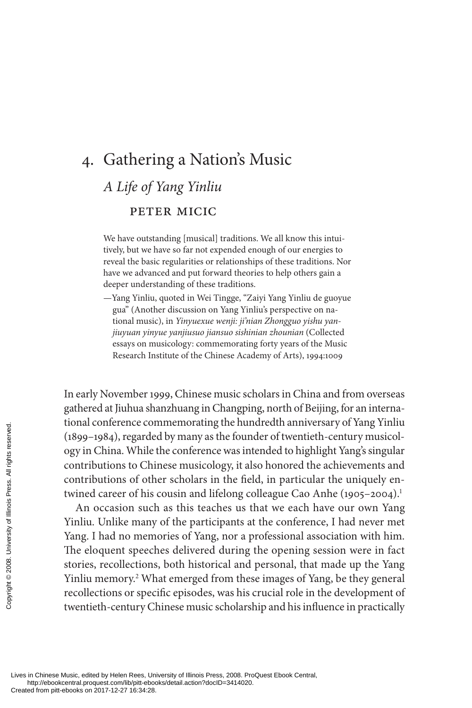# 4. Gathering a Nation's Music *A Life of Yang Yinliu* peter micic

We have outstanding [musical] traditions. We all know this intuitively, but we have so far not expended enough of our energies to reveal the basic regularities or relationships of these traditions. Nor have we advanced and put forward theories to help others gain a deeper understanding of these traditions.

—Yang Yinliu, quoted in Wei Tingge, "Zaiyi Yang Yinliu de guoyue gua" (Another discussion on Yang Yinliu's perspective on national music), in *Yinyuexue wenji: ji'nian Zhongguo yishu yanjiuyuan yinyue yanjiusuo jiansuo sishinian zhounian* (Collected essays on musicology: commemorating forty years of the Music Research Institute of the Chinese Academy of Arts), 1994:1009

In early November 1999, Chinese music scholars in China and from overseas gathered at Jiuhua shanzhuang in Changping, north of Beijing, for an international conference commemorating the hundredth anniversary of Yang Yinliu (1899–1984), regarded by many as the founder of twentieth-century musicology in China. While the conference was intended to highlight Yang's singular contributions to Chinese musicology, it also honored the achievements and contributions of other scholars in the field, in particular the uniquely entwined career of his cousin and lifelong colleague Cao Anhe (1905-2004).<sup>1</sup>

An occasion such as this teaches us that we each have our own Yang Yinliu. Unlike many of the participants at the conference, I had never met Yang. I had no memories of Yang, nor a professional association with him. The eloquent speeches delivered during the opening session were in fact stories, recollections, both historical and personal, that made up the Yang Yinliu memory.2 What emerged from these images of Yang, be they general recollections or specific episodes, was his crucial role in the development of twentieth-century Chinese music scholarship and his influence in practically Created from pitt-ebooks on 2017-12-27 16:34:28. Created from pitt-ebooks on 2017-12-27 16:34:28. Created from pitt-ebooks on 2017-12-27 16:34:28. Created from pitt-ebooks on 2017-12-27 16:34:28.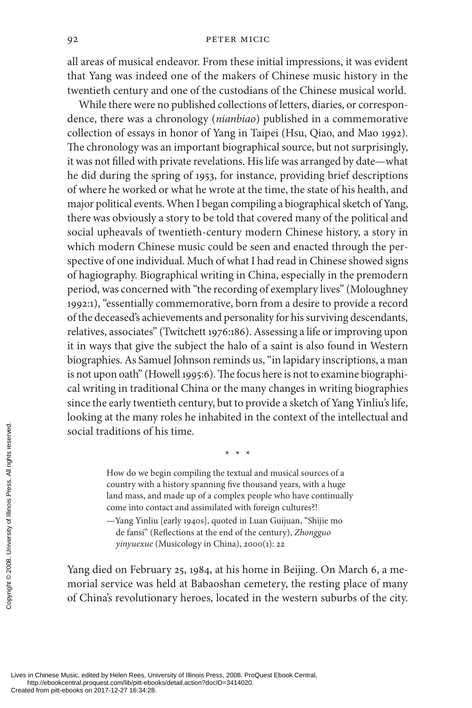#### 92 **PETER MICIC**

all areas of musical endeavor. From these initial impressions, it was evident that Yang was indeed one of the makers of Chinese music history in the twentieth century and one of the custodians of the Chinese musical world.

While there were no published collections of letters, diaries, or correspondence, there was a chronology (*nianbiao*) published in a commemorative collection of essays in honor of Yang in Taipei (Hsu, Qiao, and Mao 1992). The chronology was an important biographical source, but not surprisingly, it was not filled with private revelations. His life was arranged by date—what he did during the spring of 1953, for instance, providing brief descriptions of where he worked or what he wrote at the time, the state of his health, and major political events. When I began compiling a biographical sketch of Yang, there was obviously a story to be told that covered many of the political and social upheavals of twentieth-century modern Chinese history, a story in which modern Chinese music could be seen and enacted through the perspective of one individual. Much of what I had read in Chinese showed signs of hagiography. Biographical writing in China, especially in the premodern period, was concerned with "the recording of exemplary lives" (Moloughney 1992:1), "essentially commemorative, born from a desire to provide a record of the deceased's achievements and personality for his surviving descendants, relatives, associates" (Twitchett 1976:186). Assessing a life or improving upon it in ways that give the subject the halo of a saint is also found in Western biographies. As Samuel Johnson reminds us, "in lapidary inscriptions, a man is not upon oath" (Howell 1995:6). The focus here is not to examine biographical writing in traditional China or the many changes in writing biographies since the early twentieth century, but to provide a sketch of Yang Yinliu's life, looking at the many roles he inhabited in the context of the intellectual and social traditions of his time.

> How do we begin compiling the textual and musical sources of a country with a history spanning five thousand years, with a huge land mass, and made up of a complex people who have continually come into contact and assimilated with foreign cultures?!

\* \* \*

—Yang Yinliu [early 1940s], quoted in Luan Guijuan, "Shijie mo de fansi" (Reflections at the end of the century), *Zhongguo yinyuexue* (Musicology in China), 2000(1): 22

Yang died on February 25, 1984, at his home in Beijing. On March 6, a memorial service was held at Babaoshan cemetery, the resting place of many of China's revolutionary heroes, located in the western suburbs of the city. Social traditions of I<br>
Servesting How do we be country with<br>
land mass, an<br>
come into core into core<br>
— Yang Yinliu de fansi" (F<br>
— Yang Yinliu de fansi" (F<br>
— Yang died on Febru<br>
morial service was<br>
of China's revolutio<br>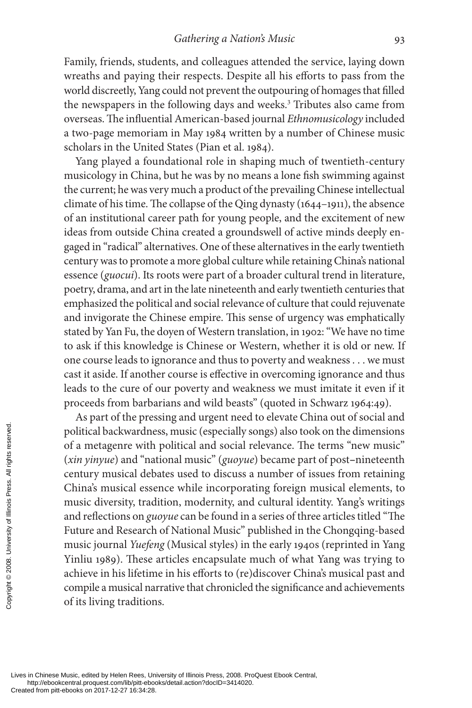Family, friends, students, and colleagues attended the service, laying down wreaths and paying their respects. Despite all his efforts to pass from the world discreetly, Yang could not prevent the outpouring of homages that filled the newspapers in the following days and weeks.<sup>3</sup> Tributes also came from overseas. The influential American-based journal *Ethnomusicology* included a two-page memoriam in May 1984 written by a number of Chinese music scholars in the United States (Pian et al. 1984).

Yang played a foundational role in shaping much of twentieth-century musicology in China, but he was by no means a lone fish swimming against the current; he was very much a product of the prevailing Chinese intellectual climate of his time. The collapse of the Qing dynasty (1644–1911), the absence of an institutional career path for young people, and the excitement of new ideas from outside China created a groundswell of active minds deeply engaged in "radical" alternatives. One of these alternatives in the early twentieth century was to promote a more global culture while retaining China's national essence (*guocui*). Its roots were part of a broader cultural trend in literature, poetry, drama, and art in the late nineteenth and early twentieth centuries that emphasized the political and social relevance of culture that could rejuvenate and invigorate the Chinese empire. This sense of urgency was emphatically stated by Yan Fu, the doyen of Western translation, in 1902: "We have no time to ask if this knowledge is Chinese or Western, whether it is old or new. If one course leads to ignorance and thus to poverty and weakness . . . we must cast it aside. If another course is effective in overcoming ignorance and thus leads to the cure of our poverty and weakness we must imitate it even if it proceeds from barbarians and wild beasts" (quoted in Schwarz 1964:49).

As part of the pressing and urgent need to elevate China out of social and political backwardness, music (especially songs) also took on the dimensions of a metagenre with political and social relevance. The terms "new music" (*xin yinyue*) and "national music" (*guoyue*) became part of post**–**nineteenth century musical debates used to discuss a number of issues from retaining China's musical essence while incorporating foreign musical elements, to music diversity, tradition, modernity, and cultural identity. Yang's writings and reflections on *guoyue* can be found in a series of three articles titled "The Future and Research of National Music" published in the Chongqing-based music journal *Yuefeng* (Musical styles) in the early 1940s (reprinted in Yang Yinliu 1989). These articles encapsulate much of what Yang was trying to achieve in his lifetime in his efforts to (re)discover China's musical past and compile a musical narrative that chronicled the significance and achievements of its living traditions. Productional backwardne<br>
of a metagenre with<br>
(*xin yinyue*) and "nai<br>
century musical deb<br>
China's musical esse<br>
music diversity, trad<br>
and reflections on *gu*<br>
Future and Research<br>
music journal *Yuefer*<br>
Yinliu 1989). T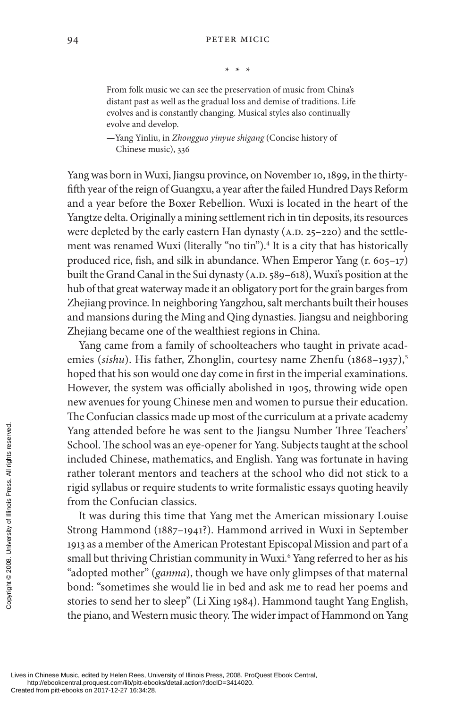\* \* \*

From folk music we can see the preservation of music from China's distant past as well as the gradual loss and demise of traditions. Life evolves and is constantly changing. Musical styles also continually evolve and develop.

—Yang Yinliu, in *Zhongguo yinyue shigang* (Concise history of Chinese music), 336

Yang was born in Wuxi, Jiangsu province, on November 10, 1899, in the thirtyfifth year of the reign of Guangxu, a year after the failed Hundred Days Reform and a year before the Boxer Rebellion. Wuxi is located in the heart of the Yangtze delta. Originally a mining settlement rich in tin deposits, its resources were depleted by the early eastern Han dynasty ( $A.D. 25-220$ ) and the settlement was renamed Wuxi (literally "no tin").<sup>4</sup> It is a city that has historically produced rice, fish, and silk in abundance. When Emperor Yang (r. 605-17) built the Grand Canal in the Sui dynasty (A.D. 589–618), Wuxi's position at the hub of that great waterway made it an obligatory port for the grain barges from Zhejiang province. In neighboring Yangzhou, salt merchants built their houses and mansions during the Ming and Qing dynasties. Jiangsu and neighboring Zhejiang became one of the wealthiest regions in China.

Yang came from a family of schoolteachers who taught in private academies (*sishu*). His father, Zhonglin, courtesy name Zhenfu (1868-1937),<sup>5</sup> hoped that his son would one day come in first in the imperial examinations. However, the system was officially abolished in 1905, throwing wide open new avenues for young Chinese men and women to pursue their education. The Confucian classics made up most of the curriculum at a private academy Yang attended before he was sent to the Jiangsu Number Three Teachers' School. The school was an eye-opener for Yang. Subjects taught at the school included Chinese, mathematics, and English. Yang was fortunate in having rather tolerant mentors and teachers at the school who did not stick to a rigid syllabus or require students to write formalistic essays quoting heavily from the Confucian classics.

It was during this time that Yang met the American missionary Louise Strong Hammond (1887–1941?). Hammond arrived in Wuxi in September 1913 as a member of the American Protestant Episcopal Mission and part of a small but thriving Christian community in Wuxi.<sup>6</sup> Yang referred to her as his "adopted mother" (*ganma*), though we have only glimpses of that maternal bond: "sometimes she would lie in bed and ask me to read her poems and stories to send her to sleep" (Li Xing 1984). Hammond taught Yang English, the piano, and Western music theory. The wider impact of Hammond on Yang Exercise on 2017-12-27 16:34:28.<br>
Exercise Music, edited by Helen Rees, University of Created from pitt-ebooks on 2017-12-27 16:34:28.<br>
Created from pitt-ebooks on 2017-12-27 16:34:28.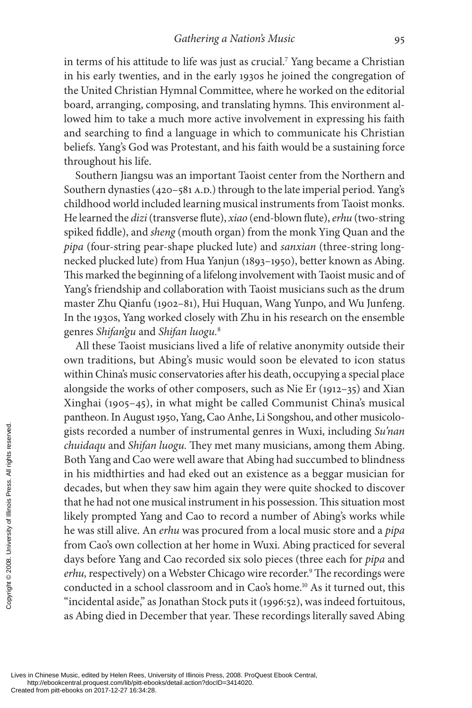in terms of his attitude to life was just as crucial.<sup>7</sup> Yang became a Christian in his early twenties, and in the early 1930s he joined the congregation of the United Christian Hymnal Committee, where he worked on the editorial board, arranging, composing, and translating hymns. This environment allowed him to take a much more active involvement in expressing his faith and searching to find a language in which to communicate his Christian beliefs. Yang's God was Protestant, and his faith would be a sustaining force throughout his life.

Southern Jiangsu was an important Taoist center from the Northern and Southern dynasties  $(420 - 581 \text{ A.D.})$  through to the late imperial period. Yang's childhood world included learning musical instruments from Taoist monks. He learned the *dizi* (transverse flute), *xiao* (end-blown flute), *erhu* (two-string spiked fiddle), and *sheng* (mouth organ) from the monk Ying Quan and the *pipa* (four-string pear-shape plucked lute) and *sanxian* (three-string longnecked plucked lute) from Hua Yanjun (1893–1950), better known as Abing. This marked the beginning of a lifelong involvement with Taoist music and of Yang's friendship and collaboration with Taoist musicians such as the drum master Zhu Qianfu (1902–81), Hui Huquan, Wang Yunpo, and Wu Junfeng. In the 1930s, Yang worked closely with Zhu in his research on the ensemble genres *Shifan'gu* and *Shifan luogu.*<sup>8</sup>

All these Taoist musicians lived a life of relative anonymity outside their own traditions, but Abing's music would soon be elevated to icon status within China's music conservatories after his death, occupying a special place alongside the works of other composers, such as Nie Er (1912–35) and Xian Xinghai (1905–45), in what might be called Communist China's musical pantheon. In August 1950, Yang, Cao Anhe, Li Songshou, and other musicologists recorded a number of instrumental genres in Wuxi, including *Su'nan chuidaqu* and *Shifan luogu.* They met many musicians, among them Abing. Both Yang and Cao were well aware that Abing had succumbed to blindness in his midthirties and had eked out an existence as a beggar musician for decades, but when they saw him again they were quite shocked to discover that he had not one musical instrument in his possession. This situation most likely prompted Yang and Cao to record a number of Abing's works while he was still alive. An *erhu* was procured from a local music store and a *pipa* from Cao's own collection at her home in Wuxi. Abing practiced for several days before Yang and Cao recorded six solo pieces (three each for *pipa* and erhu, respectively) on a Webster Chicago wire recorder.<sup>9</sup> The recordings were conducted in a school classroom and in Cao's home.<sup>10</sup> As it turned out, this "incidental aside," as Jonathan Stock puts it (1996:52), was indeed fortuitous, as Abing died in December that year. These recordings literally saved Abing Exercise on the matter of the matter of the matter of the matter of the matter of the matter of the matter of the matter of the matter of the matter of the matter of the matter of the matter of the matter of the matter of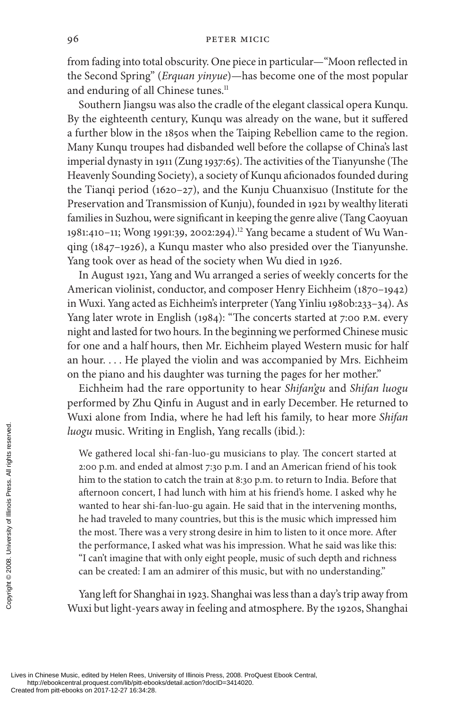from fading into total obscurity. One piece in particular—"Moon reflected in the Second Spring" (*Erquan yinyue*)—has become one of the most popular and enduring of all Chinese tunes.<sup>11</sup>

Southern Jiangsu was also the cradle of the elegant classical opera Kunqu. By the eighteenth century, Kunqu was already on the wane, but it suffered a further blow in the 1850s when the Taiping Rebellion came to the region. Many Kunqu troupes had disbanded well before the collapse of China's last imperial dynasty in 1911 (Zung 1937:65). The activities of the Tianyunshe (The Heavenly Sounding Society), a society of Kunqu aficionados founded during the Tianqi period (1620–27), and the Kunju Chuanxisuo (Institute for the Preservation and Transmission of Kunju), founded in 1921 by wealthy literati families in Suzhou, were significant in keeping the genre alive (Tang Caoyuan 1981:410-11; Wong 1991:39, 2002:294).<sup>12</sup> Yang became a student of Wu Wanqing (1847–1926), a Kunqu master who also presided over the Tianyunshe. Yang took over as head of the society when Wu died in 1926.

In August 1921, Yang and Wu arranged a series of weekly concerts for the American violinist, conductor, and composer Henry Eichheim (1870–1942) in Wuxi. Yang acted as Eichheim's interpreter (Yang Yinliu 1980b:233–34). As Yang later wrote in English (1984): "The concerts started at 7:00 P.M. every night and lasted for two hours. In the beginning we performed Chinese music for one and a half hours, then Mr. Eichheim played Western music for half an hour. . . . He played the violin and was accompanied by Mrs. Eichheim on the piano and his daughter was turning the pages for her mother."

Eichheim had the rare opportunity to hear *Shifan'gu* and *Shifan luogu* performed by Zhu Qinfu in August and in early December. He returned to Wuxi alone from India, where he had left his family, to hear more *Shifan luogu* music. Writing in English, Yang recalls (ibid.):

We gathered local shi-fan-luo-gu musicians to play. The concert started at 2:00 p.m. and ended at almost 7:30 p.m. I and an American friend of his took him to the station to catch the train at 8:30 p.m. to return to India. Before that afternoon concert, I had lunch with him at his friend's home. I asked why he wanted to hear shi-fan-luo-gu again. He said that in the intervening months, he had traveled to many countries, but this is the music which impressed him the most. There was a very strong desire in him to listen to it once more. After the performance, I asked what was his impression. What he said was like this: "I can't imagine that with only eight people, music of such depth and richness can be created: I am an admirer of this music, but with no understanding." Exerces the performance of the station of the station of the station of the station of the station of the most. There we the performance, I wanted to hear ship the most. There was the performance, I fight can be created: I

Yang left for Shanghai in 1923. Shanghai was less than a day's trip away from Wuxi but light-years away in feeling and atmosphere. By the 1920s, Shanghai

Lives in Chinese Music, edited by Helen Rees, University of Illinois Press, 2008. ProQuest Ebook Central, http://ebookcentral.proquest.com/lib/pitt-ebooks/detail.action?docID=3414020.<br>Created from pitt-ebooks on 2017-12-27 16:34:28.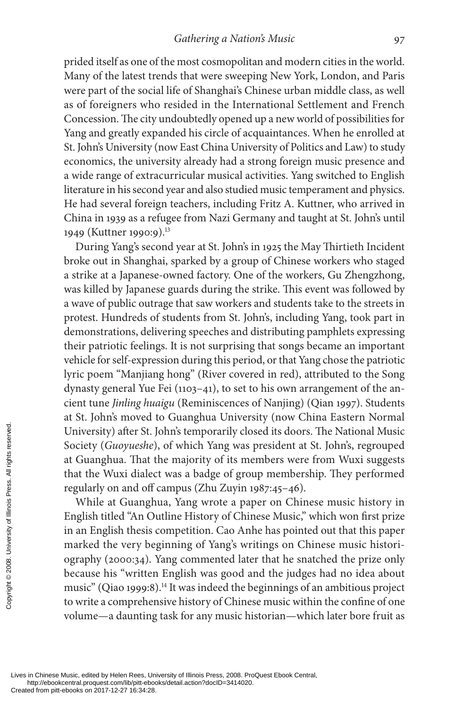prided itself as one of the most cosmopolitan and modern cities in the world. Many of the latest trends that were sweeping New York, London, and Paris were part of the social life of Shanghai's Chinese urban middle class, as well as of foreigners who resided in the International Settlement and French Concession. The city undoubtedly opened up a new world of possibilities for Yang and greatly expanded his circle of acquaintances. When he enrolled at St. John's University (now East China University of Politics and Law) to study economics, the university already had a strong foreign music presence and a wide range of extracurricular musical activities. Yang switched to English literature in his second year and also studied music temperament and physics. He had several foreign teachers, including Fritz A. Kuttner, who arrived in China in 1939 as a refugee from Nazi Germany and taught at St. John's until 1949 (Kuttner 1990:9).<sup>13</sup>

During Yang's second year at St. John's in 1925 the May Thirtieth Incident broke out in Shanghai, sparked by a group of Chinese workers who staged a strike at a Japanese-owned factory. One of the workers, Gu Zhengzhong, was killed by Japanese guards during the strike. This event was followed by a wave of public outrage that saw workers and students take to the streets in protest. Hundreds of students from St. John's, including Yang, took part in demonstrations, delivering speeches and distributing pamphlets expressing their patriotic feelings. It is not surprising that songs became an important vehicle for self-expression during this period, or that Yang chose the patriotic lyric poem "Manjiang hong" (River covered in red), attributed to the Song dynasty general Yue Fei (1103–41), to set to his own arrangement of the ancient tune *Jinling huaigu* (Reminiscences of Nanjing) (Qian 1997). Students at St. John's moved to Guanghua University (now China Eastern Normal University) after St. John's temporarily closed its doors. The National Music Society (*Guoyueshe*), of which Yang was president at St. John's, regrouped at Guanghua. That the majority of its members were from Wuxi suggests that the Wuxi dialect was a badge of group membership. They performed regularly on and off campus (Zhu Zuyin 1987:45–46).

While at Guanghua, Yang wrote a paper on Chinese music history in English titled "An Outline History of Chinese Music," which won first prize in an English thesis competition. Cao Anhe has pointed out that this paper marked the very beginning of Yang's writings on Chinese music historiography (2000:34). Yang commented later that he snatched the prize only because his "written English was good and the judges had no idea about music" (Qiao 1999:8).<sup>14</sup> It was indeed the beginnings of an ambitious project to write a comprehensive history of Chinese music within the confine of one volume—a daunting task for any music historian—which later bore fruit as Viniversity) after St. 1<br>
Society (*Guoyueshe*)<br>
at Guanghua. That t<br>
that the Wuxi dialec<br>
regularly on and off<br>
While at Guangh<br>
English titled "An O<sub>1</sub><br>
in an English thesis (marked the very be<br>
ography (2000:34).<br>
beca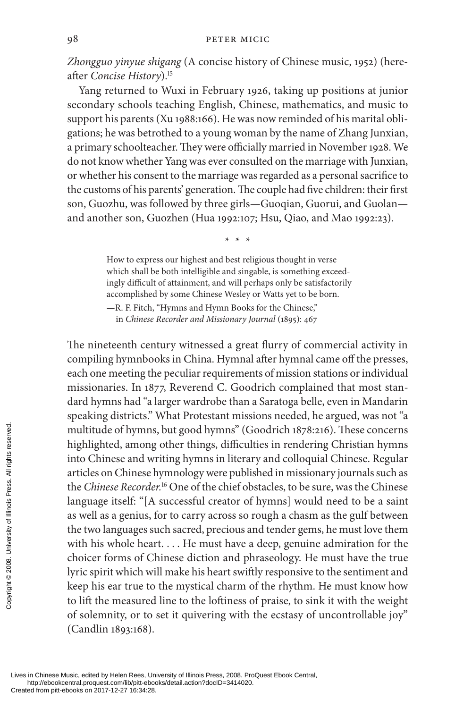*Zhongguo yinyue shigang* (A concise history of Chinese music, 1952) (hereafter *Concise History*).15

Yang returned to Wuxi in February 1926, taking up positions at junior secondary schools teaching English, Chinese, mathematics, and music to support his parents (Xu 1988:166). He was now reminded of his marital obligations; he was betrothed to a young woman by the name of Zhang Junxian, a primary schoolteacher. They were officially married in November 1928. We do not know whether Yang was ever consulted on the marriage with Junxian, or whether his consent to the marriage was regarded as a personal sacrifice to the customs of his parents' generation. The couple had five children: their first son, Guozhu, was followed by three girls—Guoqian, Guorui, and Guolan and another son, Guozhen (Hua 1992:107; Hsu, Qiao, and Mao 1992:23).

\* \* \*

How to express our highest and best religious thought in verse which shall be both intelligible and singable, is something exceedingly difficult of attainment, and will perhaps only be satisfactorily accomplished by some Chinese Wesley or Watts yet to be born. —R. F. Fitch, "Hymns and Hymn Books for the Chinese,"

in *Chinese Recorder and Missionary Journal* (1895): 467

The nineteenth century witnessed a great flurry of commercial activity in compiling hymnbooks in China. Hymnal after hymnal came off the presses, each one meeting the peculiar requirements of mission stations or individual missionaries. In 1877, Reverend C. Goodrich complained that most standard hymns had "a larger wardrobe than a Saratoga belle, even in Mandarin speaking districts." What Protestant missions needed, he argued, was not "a multitude of hymns, but good hymns" (Goodrich 1878:216). These concerns highlighted, among other things, difficulties in rendering Christian hymns into Chinese and writing hymns in literary and colloquial Chinese. Regular articles on Chinese hymnology were published in missionary journals such as the *Chinese Recorder.*16 One of the chief obstacles, to be sure, was the Chinese language itself: "[A successful creator of hymns] would need to be a saint as well as a genius, for to carry across so rough a chasm as the gulf between the two languages such sacred, precious and tender gems, he must love them with his whole heart. . . . He must have a deep, genuine admiration for the choicer forms of Chinese diction and phraseology. He must have the true lyric spirit which will make his heart swiftly responsive to the sentiment and keep his ear true to the mystical charm of the rhythm. He must know how to lift the measured line to the loftiness of praise, to sink it with the weight of solemnity, or to set it quivering with the ecstasy of uncontrollable joy" (Candlin 1893:168). Proposes multitude of hymns<br>
highlighted, among<br>
into Chinese and wi<br>
articles on Chinese Recorde.<br>
language itself: "[A<br>
as well as a genius, f<br>
the two languages st<br>
with his whole hear<br>
choicer forms of Cl<br>
lyric spirit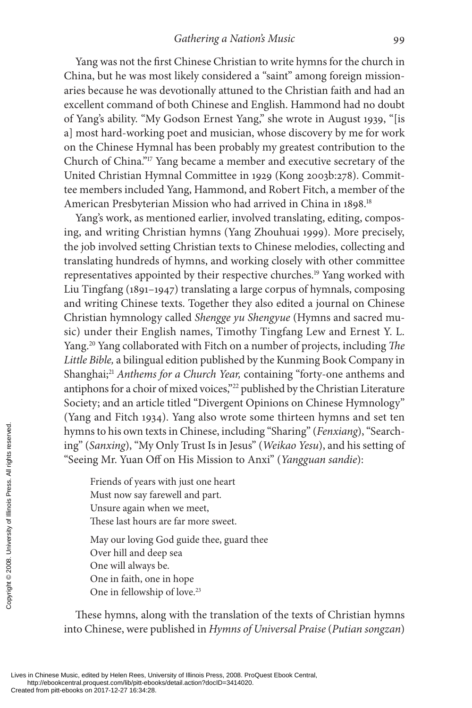Yang was not the first Chinese Christian to write hymns for the church in China, but he was most likely considered a "saint" among foreign missionaries because he was devotionally attuned to the Christian faith and had an excellent command of both Chinese and English. Hammond had no doubt of Yang's ability. "My Godson Ernest Yang," she wrote in August 1939, "[is a] most hard-working poet and musician, whose discovery by me for work on the Chinese Hymnal has been probably my greatest contribution to the Church of China."17 Yang became a member and executive secretary of the United Christian Hymnal Committee in 1929 (Kong 2003b:278). Committee members included Yang, Hammond, and Robert Fitch, a member of the American Presbyterian Mission who had arrived in China in 1898.<sup>18</sup>

Yang's work, as mentioned earlier, involved translating, editing, composing, and writing Christian hymns (Yang Zhouhuai 1999). More precisely, the job involved setting Christian texts to Chinese melodies, collecting and translating hundreds of hymns, and working closely with other committee representatives appointed by their respective churches.19 Yang worked with Liu Tingfang (1891–1947) translating a large corpus of hymnals, composing and writing Chinese texts. Together they also edited a journal on Chinese Christian hymnology called *Shengge yu Shengyue* (Hymns and sacred music) under their English names, Timothy Tingfang Lew and Ernest Y. L. Yang.20 Yang collaborated with Fitch on a number of projects, including *The Little Bible,* a bilingual edition published by the Kunming Book Company in Shanghai;<sup>21</sup> Anthems for a Church Year, containing "forty-one anthems and antiphons for a choir of mixed voices,"22 published by the Christian Literature Society; and an article titled "Divergent Opinions on Chinese Hymnology" (Yang and Fitch 1934). Yang also wrote some thirteen hymns and set ten hymns to his own texts in Chinese, including "Sharing" (*Fenxiang*), "Searching" (*Sanxing*), "My Only Trust Is in Jesus" (*Weikao Yesu*), and his setting of "Seeing Mr. Yuan Off on His Mission to Anxi" (*Yangguan sandie*):

Friends of years with just one heart Must now say farewell and part. Unsure again when we meet, These last hours are far more sweet.

May our loving God guide thee, guard thee Over hill and deep sea One will always be. One in faith, one in hope One in fellowship of love.<sup>23</sup> Experiment to his own text<br>
ing" (*Sanxing*), "My<br>
"Seeing Mr. Yuan Of<br>
Friends of years<br>
Must now say fa<br>
Unsure again wl<br>
These last hours<br>
May our loving<br>
May our loving<br>
Over hill and de<br>
One will always<br>
One in faith,

These hymns, along with the translation of the texts of Christian hymns into Chinese, were published in *Hymns of Universal Praise* (*Putian songzan*)

Lives in Chinese Music, edited by Helen Rees, University of Illinois Press, 2008. ProQuest Ebook Central, http://ebookcentral.proquest.com/lib/pitt-ebooks/detail.action?docID=3414020.<br>Created from pitt-ebooks on 2017-12-27 16:34:28.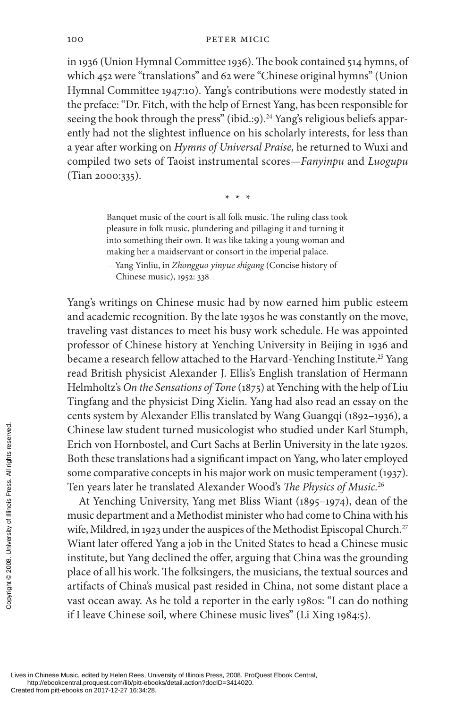in 1936 (Union Hymnal Committee 1936). The book contained 514 hymns, of which 452 were "translations" and 62 were "Chinese original hymns" (Union Hymnal Committee 1947:10). Yang's contributions were modestly stated in the preface: "Dr. Fitch, with the help of Ernest Yang, has been responsible for seeing the book through the press" (ibid.:9).<sup>24</sup> Yang's religious beliefs apparently had not the slightest influence on his scholarly interests, for less than a year after working on *Hymns of Universal Praise,* he returned to Wuxi and compiled two sets of Taoist instrumental scores—*Fanyinpu* and *Luogupu* (Tian 2000:335).

\* \* \*

Banquet music of the court is all folk music. The ruling class took pleasure in folk music, plundering and pillaging it and turning it into something their own. It was like taking a young woman and making her a maidservant or consort in the imperial palace.

—Yang Yinliu, in *Zhongguo yinyue shigang* (Concise history of Chinese music), 1952: 338

Yang's writings on Chinese music had by now earned him public esteem and academic recognition. By the late 1930s he was constantly on the move, traveling vast distances to meet his busy work schedule. He was appointed professor of Chinese history at Yenching University in Beijing in 1936 and became a research fellow attached to the Harvard-Yenching Institute.<sup>25</sup> Yang read British physicist Alexander J. Ellis's English translation of Hermann Helmholtz's *On the Sensations of Tone* (1875) at Yenching with the help of Liu Tingfang and the physicist Ding Xielin. Yang had also read an essay on the cents system by Alexander Ellis translated by Wang Guangqi (1892–1936), a Chinese law student turned musicologist who studied under Karl Stumph, Erich von Hornbostel, and Curt Sachs at Berlin University in the late 1920s. Both these translations had a significant impact on Yang, who later employed some comparative concepts in his major work on music temperament (1937). Ten years later he translated Alexander Wood's *The Physics of Music.*<sup>26</sup>

At Yenching University, Yang met Bliss Wiant (1895–1974), dean of the music department and a Methodist minister who had come to China with his wife, Mildred, in 1923 under the auspices of the Methodist Episcopal Church.<sup>27</sup> Wiant later offered Yang a job in the United States to head a Chinese music institute, but Yang declined the offer, arguing that China was the grounding place of all his work. The folksingers, the musicians, the textual sources and artifacts of China's musical past resided in China, not some distant place a vast ocean away. As he told a reporter in the early 1980s: "I can do nothing if I leave Chinese soil, where Chinese music lives" (Li Xing 1984:5). Created from pitt-ebooks on 2017-12-27 16:34:28. Created from pitt-ebooks on 2017-12-27 16:34:28. Created from pitt-ebooks on 2017-12-27 16:34:28. Created from pitt-ebooks on 2017-12-27 16:34:28.

Lives in Chinese Music, edited by Helen Rees, University of Illinois Press, 2008. ProQuest Ebook Central, http://ebookcentral.proquest.com/lib/pitt-ebooks/detail.action?docID=3414020.<br>Created from pitt-ebooks on 2017-12-27 16:34:28.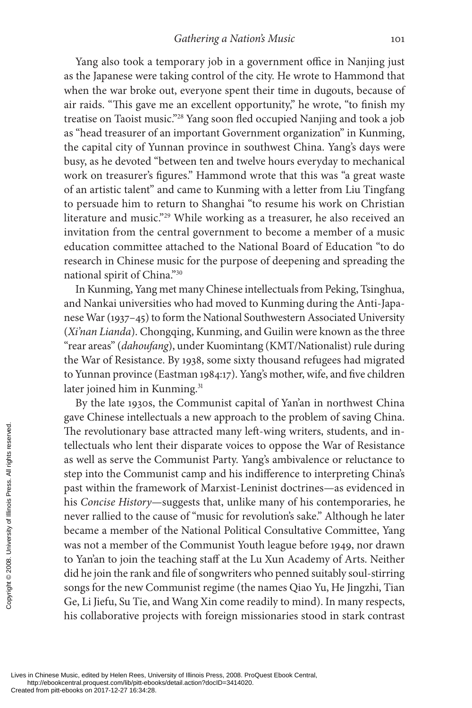Yang also took a temporary job in a government office in Nanjing just as the Japanese were taking control of the city. He wrote to Hammond that when the war broke out, everyone spent their time in dugouts, because of air raids. "This gave me an excellent opportunity," he wrote, "to finish my treatise on Taoist music."28 Yang soon fled occupied Nanjing and took a job as "head treasurer of an important Government organization" in Kunming, the capital city of Yunnan province in southwest China. Yang's days were busy, as he devoted "between ten and twelve hours everyday to mechanical work on treasurer's figures." Hammond wrote that this was "a great waste of an artistic talent" and came to Kunming with a letter from Liu Tingfang to persuade him to return to Shanghai "to resume his work on Christian literature and music."<sup>29</sup> While working as a treasurer, he also received an invitation from the central government to become a member of a music education committee attached to the National Board of Education "to do research in Chinese music for the purpose of deepening and spreading the national spirit of China."30

In Kunming, Yang met many Chinese intellectuals from Peking, Tsinghua, and Nankai universities who had moved to Kunming during the Anti-Japanese War (1937–45) to form the National Southwestern Associated University (*Xi'nan Lianda*). Chongqing, Kunming, and Guilin were known as the three "rear areas" (*dahoufang*), under Kuomintang (KMT/Nationalist) rule during the War of Resistance. By 1938, some sixty thousand refugees had migrated to Yunnan province (Eastman 1984:17). Yang's mother, wife, and five children later joined him in Kunming.<sup>31</sup>

By the late 1930s, the Communist capital of Yan'an in northwest China gave Chinese intellectuals a new approach to the problem of saving China. The revolutionary base attracted many left-wing writers, students, and intellectuals who lent their disparate voices to oppose the War of Resistance as well as serve the Communist Party. Yang's ambivalence or reluctance to step into the Communist camp and his indifference to interpreting China's past within the framework of Marxist-Leninist doctrines—as evidenced in his *Concise History*—suggests that, unlike many of his contemporaries, he never rallied to the cause of "music for revolution's sake." Although he later became a member of the National Political Consultative Committee, Yang was not a member of the Communist Youth league before 1949, nor drawn to Yan'an to join the teaching staff at the Lu Xun Academy of Arts. Neither did he join the rank and file of songwriters who penned suitably soul-stirring songs for the new Communist regime (the names Qiao Yu, He Jingzhi, Tian Ge, Li Jiefu, Su Tie, and Wang Xin come readily to mind). In many respects, his collaborative projects with foreign missionaries stood in stark contrast The revolutionary biometric as well as serve the Community as well as serve the Community and the Community of the Control of the Control of the Control of the Control of the Control of the Community of the Control of the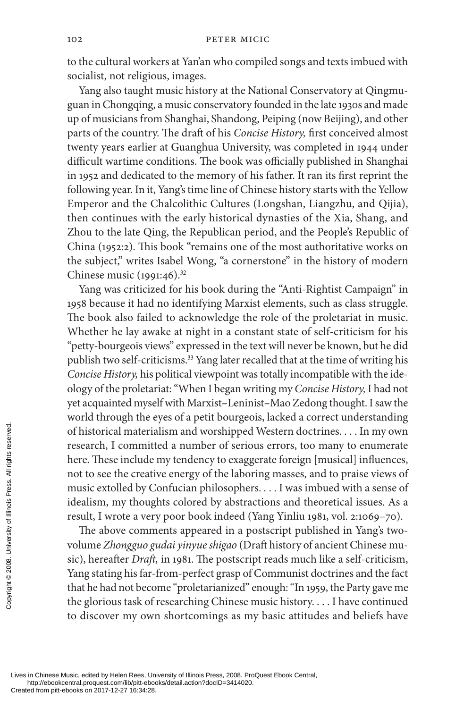to the cultural workers at Yan'an who compiled songs and texts imbued with socialist, not religious, images.

Yang also taught music history at the National Conservatory at Qingmuguan in Chongqing, a music conservatory founded in the late 1930s and made up of musicians from Shanghai, Shandong, Peiping (now Beijing), and other parts of the country. The draft of his *Concise History,* first conceived almost twenty years earlier at Guanghua University, was completed in 1944 under difficult wartime conditions. The book was officially published in Shanghai in 1952 and dedicated to the memory of his father. It ran its first reprint the following year. In it, Yang's time line of Chinese history starts with the Yellow Emperor and the Chalcolithic Cultures (Longshan, Liangzhu, and Qijia), then continues with the early historical dynasties of the Xia, Shang, and Zhou to the late Qing, the Republican period, and the People's Republic of China (1952:2). This book "remains one of the most authoritative works on the subject," writes Isabel Wong, "a cornerstone" in the history of modern Chinese music (1991:46).32

Yang was criticized for his book during the "Anti-Rightist Campaign" in 1958 because it had no identifying Marxist elements, such as class struggle. The book also failed to acknowledge the role of the proletariat in music. Whether he lay awake at night in a constant state of self-criticism for his "petty-bourgeois views" expressed in the text will never be known, but he did publish two self-criticisms.<sup>33</sup> Yang later recalled that at the time of writing his *Concise History,* his political viewpoint was totally incompatible with the ideology of the proletariat: "When I began writing my *Concise History,* I had not yet acquainted myself with Marxist**–**Leninist**–**Mao Zedong thought. I saw the world through the eyes of a petit bourgeois, lacked a correct understanding of historical materialism and worshipped Western doctrines. . . . In my own research, I committed a number of serious errors, too many to enumerate here. These include my tendency to exaggerate foreign [musical] influences, not to see the creative energy of the laboring masses, and to praise views of music extolled by Confucian philosophers. . . . I was imbued with a sense of idealism, my thoughts colored by abstractions and theoretical issues. As a result, I wrote a very poor book indeed (Yang Yinliu 1981, vol. 2:1069–70). The motion of historical material research, I committ<br>
here. These include<br>
not to see the creati<br>
music extolled by C<br>
idealism, my thoug<br>
result, I wrote a ver<br>
The above comm<br>
volume Zhongguo g<br>
sic), hereafter Draft,<br>

The above comments appeared in a postscript published in Yang's twovolume *Zhongguo gudai yinyue shigao* (Draft history of ancient Chinese music), hereafter *Draft,* in 1981. The postscript reads much like a self-criticism, Yang stating his far-from-perfect grasp of Communist doctrines and the fact that he had not become "proletarianized" enough: "In 1959, the Party gave me the glorious task of researching Chinese music history. . . . I have continued to discover my own shortcomings as my basic attitudes and beliefs have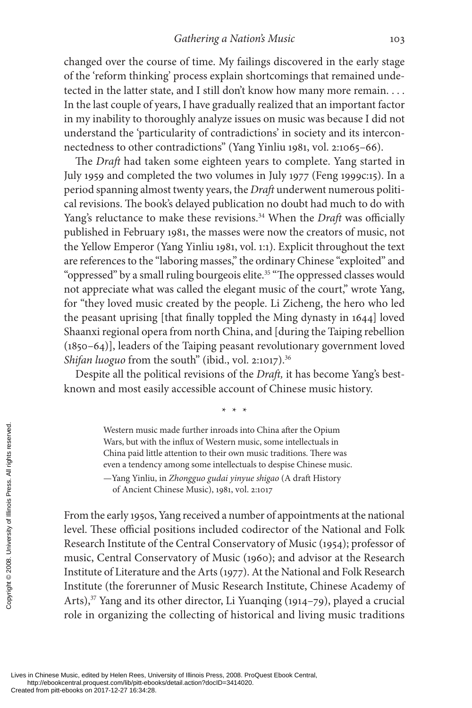changed over the course of time. My failings discovered in the early stage of the 'reform thinking' process explain shortcomings that remained undetected in the latter state, and I still don't know how many more remain. . . . In the last couple of years, I have gradually realized that an important factor in my inability to thoroughly analyze issues on music was because I did not understand the 'particularity of contradictions' in society and its interconnectedness to other contradictions" (Yang Yinliu 1981, v0l. 2:1065–66).

The *Draft* had taken some eighteen years to complete. Yang started in July 1959 and completed the two volumes in July 1977 (Feng 1999c:15). In a period spanning almost twenty years, the *Draft* underwent numerous political revisions. The book's delayed publication no doubt had much to do with Yang's reluctance to make these revisions.<sup>34</sup> When the *Draft* was officially published in February 1981, the masses were now the creators of music, not the Yellow Emperor (Yang Yinliu 1981, vol. 1:1). Explicit throughout the text are references to the "laboring masses," the ordinary Chinese "exploited" and "oppressed" by a small ruling bourgeois elite.<sup>35</sup> "The oppressed classes would not appreciate what was called the elegant music of the court," wrote Yang, for "they loved music created by the people. Li Zicheng, the hero who led the peasant uprising [that finally toppled the Ming dynasty in 1644] loved Shaanxi regional opera from north China, and [during the Taiping rebellion (1850–64)], leaders of the Taiping peasant revolutionary government loved *Shifan luoguo* from the south" (ibid., vol. 2:1017).<sup>36</sup>

Despite all the political revisions of the *Draft,* it has become Yang's bestknown and most easily accessible account of Chinese music history.

\* \* \*

Western music made further inroads into China after the Opium Wars, but with the influx of Western music, some intellectuals in China paid little attention to their own music traditions. There was even a tendency among some intellectuals to despise Chinese music. —Yang Yinliu, in *Zhongguo gudai yinyue shigao* (A draft History

of Ancient Chinese Music), 1981, v0l. 2:1017

From the early 1950s, Yang received a number of appointments at the national level. These official positions included codirector of the National and Folk Research Institute of the Central Conservatory of Music (1954); professor of music, Central Conservatory of Music (1960); and advisor at the Research Institute of Literature and the Arts (1977). At the National and Folk Research Institute (the forerunner of Music Research Institute, Chinese Academy of Arts),<sup>37</sup> Yang and its other director, Li Yuanqing (1914–79), played a crucial role in organizing the collecting of historical and living music traditions Vestern music<br>
Western music<br>
Wars, but with<br>
China paid litt<br>
even a tendenc<br>
— Yang Yinliu,<br>
of Ancient C<br>
— Yang Yinliu,<br>
of Ancient C<br>
<br>
Research Institute of<br>
Music, Central Cons<br>
Institute of Literature<br>
Institute (t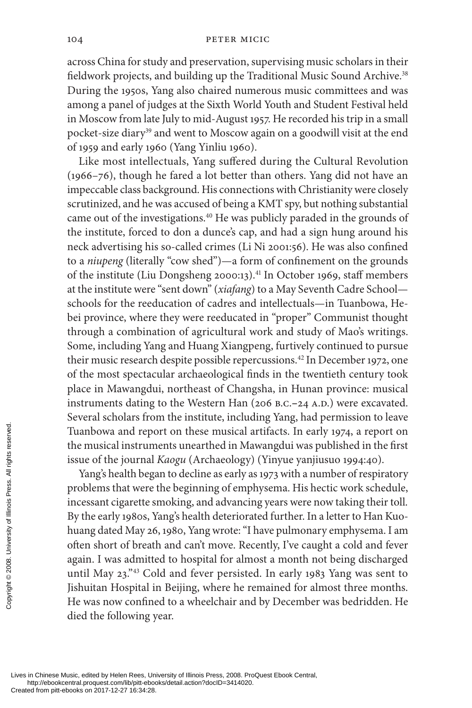across China for study and preservation, supervising music scholars in their fieldwork projects, and building up the Traditional Music Sound Archive.<sup>38</sup> During the 1950s, Yang also chaired numerous music committees and was among a panel of judges at the Sixth World Youth and Student Festival held in Moscow from late July to mid-August 1957. He recorded his trip in a small pocket-size diary<sup>39</sup> and went to Moscow again on a goodwill visit at the end of 1959 and early 1960 (Yang Yinliu 1960).

Like most intellectuals, Yang suffered during the Cultural Revolution (1966–76), though he fared a lot better than others. Yang did not have an impeccable class background. His connections with Christianity were closely scrutinized, and he was accused of being a KMT spy, but nothing substantial came out of the investigations.<sup>40</sup> He was publicly paraded in the grounds of the institute, forced to don a dunce's cap, and had a sign hung around his neck advertising his so-called crimes (Li Ni 2001:56). He was also confined to a *niupeng* (literally "cow shed")—a form of confinement on the grounds of the institute (Liu Dongsheng 2000:13).<sup>41</sup> In October 1969, staff members at the institute were "sent down" (*xiafang*) to a May Seventh Cadre School schools for the reeducation of cadres and intellectuals—in Tuanbowa, Hebei province, where they were reeducated in "proper" Communist thought through a combination of agricultural work and study of Mao's writings. Some, including Yang and Huang Xiangpeng, furtively continued to pursue their music research despite possible repercussions.<sup>42</sup> In December 1972, one of the most spectacular archaeological finds in the twentieth century took place in Mawangdui, northeast of Changsha, in Hunan province: musical instruments dating to the Western Han (206 B.C.-24 A.D.) were excavated. Several scholars from the institute, including Yang, had permission to leave Tuanbowa and report on these musical artifacts. In early 1974, a report on the musical instruments unearthed in Mawangdui was published in the first issue of the journal *Kaogu* (Archaeology) (Yinyue yanjiusuo 1994:40).

Yang's health began to decline as early as 1973 with a number of respiratory problems that were the beginning of emphysema. His hectic work schedule, incessant cigarette smoking, and advancing years were now taking their toll. By the early 1980s, Yang's health deteriorated further. In a letter to Han Kuohuang dated May 26, 1980, Yang wrote: "I have pulmonary emphysema. I am often short of breath and can't move. Recently, I've caught a cold and fever again. I was admitted to hospital for almost a month not being discharged until May 23."43 Cold and fever persisted. In early 1983 Yang was sent to Jishuitan Hospital in Beijing, where he remained for almost three months. He was now confined to a wheelchair and by December was bedridden. He died the following year. Tuanbowa and repoted in musical instrum<br>
issue of the journal<br>
Yang's health bega<br>
problems that were<br>
incessant cigarette s<br>
By the early 1980s, Y<br>
huang dated May 26<br>
often short of breatl<br>
again. I was admitted<br>
until M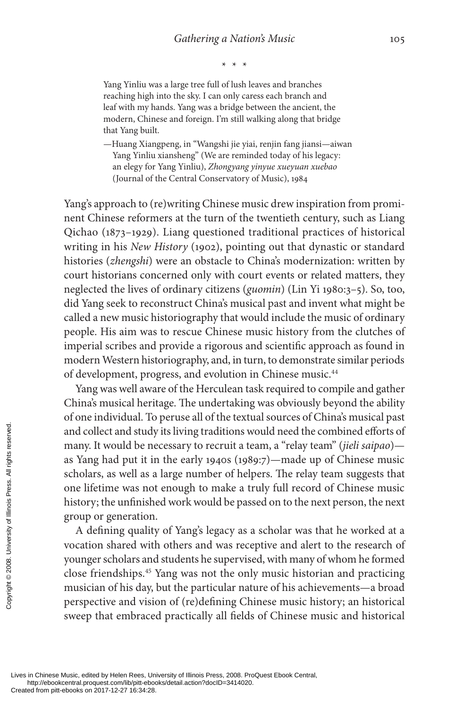\* \* \*

Yang Yinliu was a large tree full of lush leaves and branches reaching high into the sky. I can only caress each branch and leaf with my hands. Yang was a bridge between the ancient, the modern, Chinese and foreign. I'm still walking along that bridge that Yang built.

—Huang Xiangpeng, in "Wangshi jie yiai, renjin fang jiansi—aiwan Yang Yinliu xiansheng" (We are reminded today of his legacy: an elegy for Yang Yinliu), *Zhongyang yinyue xueyuan xuebao* (Journal of the Central Conservatory of Music), 1984

Yang's approach to (re)writing Chinese music drew inspiration from prominent Chinese reformers at the turn of the twentieth century, such as Liang Qichao (1873–1929). Liang questioned traditional practices of historical writing in his *New History* (1902), pointing out that dynastic or standard histories (*zhengshi*) were an obstacle to China's modernization: written by court historians concerned only with court events or related matters, they neglected the lives of ordinary citizens (*guomin*) (Lin Yi 1980:3–5). So, too, did Yang seek to reconstruct China's musical past and invent what might be called a new music historiography that would include the music of ordinary people. His aim was to rescue Chinese music history from the clutches of imperial scribes and provide a rigorous and scientific approach as found in modern Western historiography, and, in turn, to demonstrate similar periods of development, progress, and evolution in Chinese music.<sup>44</sup>

Yang was well aware of the Herculean task required to compile and gather China's musical heritage. The undertaking was obviously beyond the ability of one individual. To peruse all of the textual sources of China's musical past and collect and study its living traditions would need the combined efforts of many. It would be necessary to recruit a team, a "relay team" (*jieli saipao*) as Yang had put it in the early 1940s (1989:7)—made up of Chinese music scholars, as well as a large number of helpers. The relay team suggests that one lifetime was not enough to make a truly full record of Chinese music history; the unfinished work would be passed on to the next person, the next group or generation. Exercise and collect and study<br>
many. It would be ne<br>
as Yang had put it in<br>
scholars, as well as a<br>
one lifetime was not<br>
history; the unfinish<br>
group or generation.<br>
A defining quality<br>
vocation shared with<br>
younger scho

A defining quality of Yang's legacy as a scholar was that he worked at a vocation shared with others and was receptive and alert to the research of younger scholars and students he supervised, with many of whom he formed close friendships.45 Yang was not the only music historian and practicing musician of his day, but the particular nature of his achievements—a broad perspective and vision of (re)defining Chinese music history; an historical sweep that embraced practically all fields of Chinese music and historical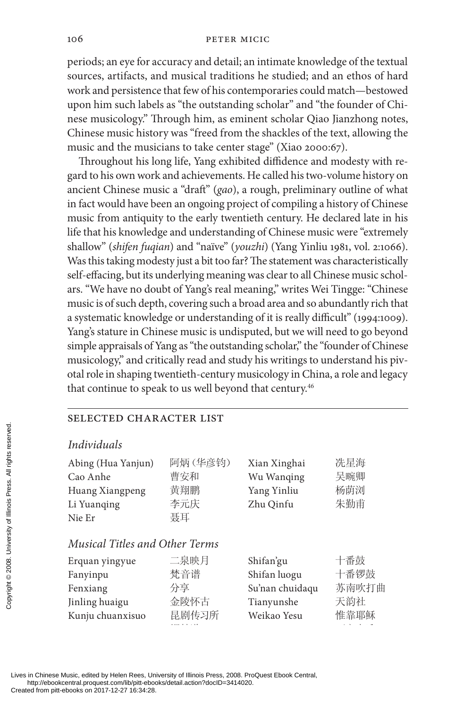periods; an eye for accuracy and detail; an intimate knowledge of the textual sources, artifacts, and musical traditions he studied; and an ethos of hard work and persistence that few of his contemporaries could match—bestowed upon him such labels as "the outstanding scholar" and "the founder of Chinese musicology." Through him, as eminent scholar Qiao Jianzhong notes, Chinese music history was "freed from the shackles of the text, allowing the music and the musicians to take center stage" (Xiao 2000:67).

Throughout his long life, Yang exhibited diffidence and modesty with regard to his own work and achievements. He called his two-volume history on ancient Chinese music a "draft" (*gao*), a rough, preliminary outline of what in fact would have been an ongoing project of compiling a history of Chinese music from antiquity to the early twentieth century. He declared late in his life that his knowledge and understanding of Chinese music were "extremely shallow" (*shifen fuqian*) and "naïve" (*youzhi*) (Yang Yinliu 1981, vol. 2:1066). Was this taking modesty just a bit too far? The statement was characteristically self-effacing, but its underlying meaning was clear to all Chinese music scholars. "We have no doubt of Yang's real meaning," writes Wei Tingge: "Chinese music is of such depth, covering such a broad area and so abundantly rich that a systematic knowledge or understanding of it is really difficult" (1994:1009). Yang's stature in Chinese music is undisputed, but we will need to go beyond simple appraisals of Yang as "the outstanding scholar," the "founder of Chinese musicology," and critically read and study his writings to understand his pivotal role in shaping twentieth-century musicology in China, a role and legacy that continue to speak to us well beyond that century.<sup>46</sup>

#### Selected Character List

#### *Individuals*

|                                                                      | Abing (Hua Yanjun)                                      | 阿炳 (华彦钧) | Xian Xinghai    | 冼星海  |
|----------------------------------------------------------------------|---------------------------------------------------------|----------|-----------------|------|
|                                                                      | Cao Anhe                                                | 曹安和      | Wu Wanqing      | 吴畹卿  |
|                                                                      | Huang Xiangpeng                                         | 黄翔鹏      | Yang Yinliu     | 杨荫浏  |
|                                                                      | Li Yuanqing                                             | 李元庆      | Zhu Qinfu       | 朱勤甫  |
|                                                                      | Nie Er                                                  | 登耳       |                 |      |
| Copyright © 2008. University of Illinois Press. All rights reserved. | <b>Musical Titles and Other Terms</b><br>Erquan yingyue | 二泉映月     | Shifan'gu       | 十番鼓  |
|                                                                      |                                                         |          |                 |      |
|                                                                      | Fanyinpu                                                | 梵音谱      | Shifan luogu    | 十番锣彭 |
|                                                                      | Fenxiang                                                | 分享       | Su'nan chuidaqu | 苏南吹打 |
|                                                                      | Jinling huaigu                                          | 金陵怀古     | Tianyunshe      | 天韵社  |
|                                                                      | Kunju chuanxisuo                                        | 昆剧传习所    | Weikao Yesu     | 惟靠耶稣 |
|                                                                      |                                                         |          |                 |      |
|                                                                      |                                                         |          |                 |      |

| Erquan yingyue   | 二泉映月  | Shifan'gu       | 十番鼓   |
|------------------|-------|-----------------|-------|
| Fanyinpu         | 梵音谱   | Shifan luogu    | 十番锣鼓  |
| Fenxiang         | 分享    | Su'nan chuidaqu | 苏南吹打曲 |
| Jinling huaigu   | 金陵怀古  | Tianyunshe      | 天韵社   |
| Kunju chuanxisuo | 昆剧传习所 | Weikao Yesu     | 惟靠耶稣  |
|                  | .     |                 |       |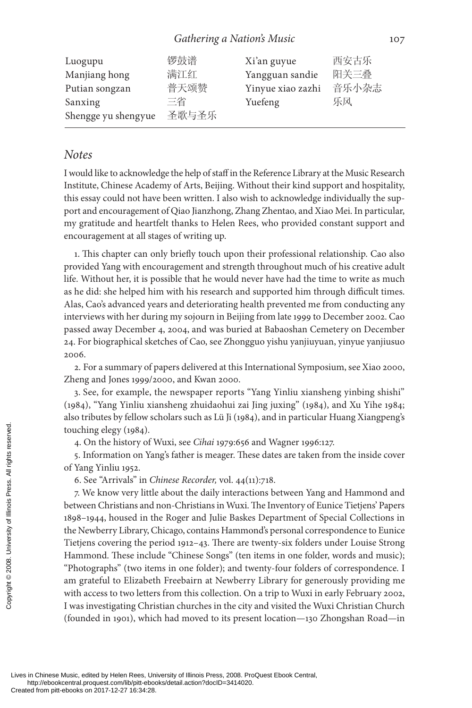| Luogupu             | 锣鼓谱   | Xi'an guyue       | 西安古乐  |  |
|---------------------|-------|-------------------|-------|--|
| Manjiang hong       | 满江红   | Yangguan sandie   | 阳关三叠  |  |
| Putian songzan      | 普天颂赞  | Yinyue xiao zazhi | 音乐小杂志 |  |
| Sanxing             | 三省    | Yuefeng           | 乐风    |  |
| Shengge yu shengyue | 圣歌与圣乐 |                   |       |  |

### *Notes*

I would like to acknowledge the help of staff in the Reference Library at the Music Research Institute, Chinese Academy of Arts, Beijing. Without their kind support and hospitality, this essay could not have been written. I also wish to acknowledge individually the support and encouragement of Qiao Jianzhong, Zhang Zhentao, and Xiao Mei. In particular, my gratitude and heartfelt thanks to Helen Rees, who provided constant support and encouragement at all stages of writing up.

1. This chapter can only briefly touch upon their professional relationship. Cao also provided Yang with encouragement and strength throughout much of his creative adult life. Without her, it is possible that he would never have had the time to write as much as he did: she helped him with his research and supported him through difficult times. Alas, Cao's advanced years and deteriorating health prevented me from conducting any interviews with her during my sojourn in Beijing from late 1999 to December 2002. Cao passed away December 4, 2004, and was buried at Babaoshan Cemetery on December 24. For biographical sketches of Cao, see Zhongguo yishu yanjiuyuan, yinyue yanjiusuo 2006.

2. For a summary of papers delivered at this International Symposium, see Xiao 2000, Zheng and Jones 1999/2000, and Kwan 2000.

3. See, for example, the newspaper reports "Yang Yinliu xiansheng yinbing shishi" (1984), "Yang Yinliu xiansheng zhuidaohui zai Jing juxing" (1984), and Xu Yihe 1984; also tributes by fellow scholars such as Lü Ji (1984), and in particular Huang Xiangpeng's touching elegy (1984).

4. On the history of Wuxi, see *Cihai* 1979:656 and Wagner 1996:127.

5. Information on Yang's father is meager. These dates are taken from the inside cover of Yang Yinliu 1952.

6. See "Arrivals" in *Chinese Recorder,* vol. 44(11):718.

7. We know very little about the daily interactions between Yang and Hammond and between Christians and non-Christians in Wuxi. The Inventory of Eunice Tietjens' Papers 1898–1944, housed in the Roger and Julie Baskes Department of Special Collections in the Newberry Library, Chicago, contains Hammond's personal correspondence to Eunice Tietjens covering the period 1912–43. There are twenty-six folders under Louise Strong Hammond. These include "Chinese Songs" (ten items in one folder, words and music); "Photographs" (two items in one folder); and twenty-four folders of correspondence. I am grateful to Elizabeth Freebairn at Newberry Library for generously providing me with access to two letters from this collection. On a trip to Wuxi in early February 2002, I was investigating Christian churches in the city and visited the Wuxi Christian Church (founded in 1901), which had moved to its present location—130 Zhongshan Road—in From the bistory (1984).<br>
4. On the history of V<br>
5. Information on Yan<br>
of Yang Yinliu 1952.<br>
6. See "Arrivals" in C<br>
7. We know very little<br>
between Christians and<br>
1898–1944, housed in the Newberry Library, C<br>
Tietjens

Lives in Chinese Music, edited by Helen Rees, University of Illinois Press, 2008. ProQuest Ebook Central, http://ebookcentral.proquest.com/lib/pitt-ebooks/detail.action?docID=3414020.<br>Created from pitt-ebooks on 2017-12-27 16:34:28.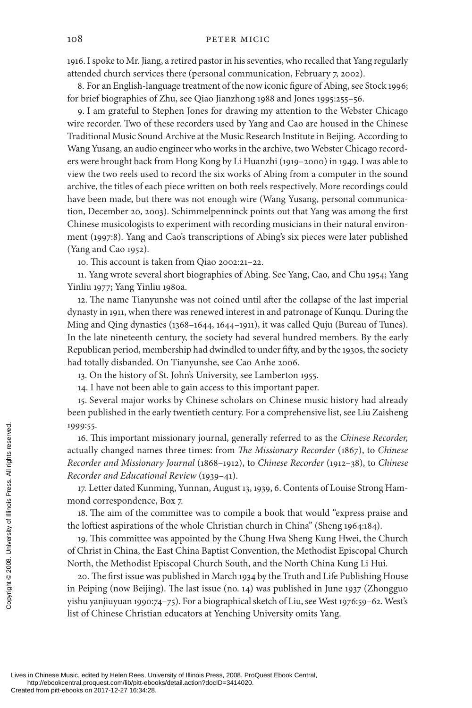1916. I spoke to Mr. Jiang, a retired pastor in his seventies, who recalled that Yang regularly attended church services there (personal communication, February 7, 2002).

8. For an English-language treatment of the now iconic figure of Abing, see Stock 1996; for brief biographies of Zhu, see Qiao Jianzhong 1988 and Jones 1995:255–56.

9. I am grateful to Stephen Jones for drawing my attention to the Webster Chicago wire recorder. Two of these recorders used by Yang and Cao are housed in the Chinese Traditional Music Sound Archive at the Music Research Institute in Beijing. According to Wang Yusang, an audio engineer who works in the archive, two Webster Chicago recorders were brought back from Hong Kong by Li Huanzhi (1919–2000) in 1949. I was able to view the two reels used to record the six works of Abing from a computer in the sound archive, the titles of each piece written on both reels respectively. More recordings could have been made, but there was not enough wire (Wang Yusang, personal communication, December 20, 2003). Schimmelpenninck points out that Yang was among the first Chinese musicologists to experiment with recording musicians in their natural environment (1997:8). Yang and Cao's transcriptions of Abing's six pieces were later published (Yang and Cao 1952).

10. This account is taken from Qiao 2002:21–22.

11. Yang wrote several short biographies of Abing. See Yang, Cao, and Chu 1954; Yang Yinliu 1977; Yang Yinliu 1980a.

12. The name Tianyunshe was not coined until after the collapse of the last imperial dynasty in 1911, when there was renewed interest in and patronage of Kunqu. During the Ming and Qing dynasties (1368–1644, 1644–1911), it was called Quju (Bureau of Tunes). In the late nineteenth century, the society had several hundred members. By the early Republican period, membership had dwindled to under fifty, and by the 1930s, the society had totally disbanded. On Tianyunshe, see Cao Anhe 2006.

13. On the history of St. John's University, see Lamberton 1955.

14. I have not been able to gain access to this important paper.

15. Several major works by Chinese scholars on Chinese music history had already been published in the early twentieth century. For a comprehensive list, see Liu Zaisheng 1999:55.

16. This important missionary journal, generally referred to as the *Chinese Recorder,* actually changed names three times: from *The Missionary Recorder* (1867), to *Chinese Recorder and Missionary Journal* (1868–1912), to *Chinese Recorder* (1912–38), to *Chinese Recorder and Educational Review* (1939–41). The most and Missional proposed and Missional Recorder and Missional Recorder and Education<br>
17. Letter dated Kunr<br>
mond correspondence,<br>
18. The aim of the copyright<br>
E 2008. The Section of Christ in China, the<br>
North, th

17. Letter dated Kunming, Yunnan, August 13, 1939, 6. Contents of Louise Strong Hammond correspondence, Box 7.

18. The aim of the committee was to compile a book that would "express praise and the loftiest aspirations of the whole Christian church in China" (Sheng 1964:184).

19. This committee was appointed by the Chung Hwa Sheng Kung Hwei, the Church of Christ in China, the East China Baptist Convention, the Methodist Episcopal Church North, the Methodist Episcopal Church South, and the North China Kung Li Hui.

20. The first issue was published in March 1934 by the Truth and Life Publishing House in Peiping (now Beijing). The last issue (no. 14) was published in June 1937 (Zhongguo yishu yanjiuyuan 1990:74–75). For a biographical sketch of Liu, see West 1976:59–62. West's list of Chinese Christian educators at Yenching University omits Yang.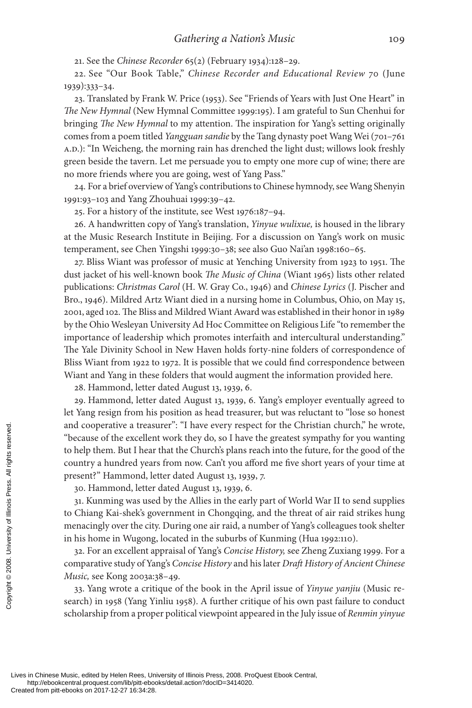21. See the *Chinese Recorder* 65(2) (February 1934):128–29.

22. See "Our Book Table," *Chinese Recorder and Educational Review* 70 (June 1939):333–34.

23. Translated by Frank W. Price (1953). See "Friends of Years with Just One Heart" in *The New Hymnal* (New Hymnal Committee 1999:195). I am grateful to Sun Chenhui for bringing *The New Hymnal* to my attention. The inspiration for Yang's setting originally comes from a poem titled *Yangguan sandie* by the Tang dynasty poet Wang Wei (701–761 A.D.): "In Weicheng, the morning rain has drenched the light dust; willows look freshly green beside the tavern. Let me persuade you to empty one more cup of wine; there are no more friends where you are going, west of Yang Pass."

24. For a brief overview of Yang's contributions to Chinese hymnody, see Wang Shenyin 1991:93–103 and Yang Zhouhuai 1999:39–42.

25. For a history of the institute, see West 1976:187–94.

26. A handwritten copy of Yang's translation, *Yinyue wulixue,* is housed in the library at the Music Research Institute in Beijing. For a discussion on Yang's work on music temperament, see Chen Yingshi 1999:30–38; see also Guo Nai'an 1998:160–65.

27. Bliss Wiant was professor of music at Yenching University from 1923 to 1951. The dust jacket of his well-known book *The Music of China* (Wiant 1965) lists other related publications: *Christmas Carol* (H. W. Gray Co., 1946) and *Chinese Lyrics* (J. Pischer and Bro., 1946). Mildred Artz Wiant died in a nursing home in Columbus, Ohio, on May 15, 2001, aged 102. The Bliss and Mildred Wiant Award was established in their honor in 1989 by the Ohio Wesleyan University Ad Hoc Committee on Religious Life "to remember the importance of leadership which promotes interfaith and intercultural understanding." The Yale Divinity School in New Haven holds forty-nine folders of correspondence of Bliss Wiant from 1922 to 1972. It is possible that we could find correspondence between Wiant and Yang in these folders that would augment the information provided here.

28. Hammond, letter dated August 13, 1939, 6.

29. Hammond, letter dated August 13, 1939, 6. Yang's employer eventually agreed to let Yang resign from his position as head treasurer, but was reluctant to "lose so honest and cooperative a treasurer": "I have every respect for the Christian church," he wrote, "because of the excellent work they do, so I have the greatest sympathy for you wanting to help them. But I hear that the Church's plans reach into the future, for the good of the country a hundred years from now. Can't you afford me five short years of your time at present?" Hammond, letter dated August 13, 1939, 7. The pitt-ebooks on 2017-12-27 16:34:28.<br>
Created from pitt-books on 2017-12-27 16:34:28.<br>
Created from pitt-books on 2017-12-27 16:34:28.<br>
Created from pitt-books on 2017-12-27 16:34:28.

30. Hammond, letter dated August 13, 1939, 6.

31. Kunming was used by the Allies in the early part of World War II to send supplies to Chiang Kai-shek's government in Chongqing, and the threat of air raid strikes hung menacingly over the city. During one air raid, a number of Yang's colleagues took shelter in his home in Wugong, located in the suburbs of Kunming (Hua 1992:110).

32. For an excellent appraisal of Yang's *Concise History,* see Zheng Zuxiang 1999. For a comparative study of Yang's *Concise History* and his later *Draft History of Ancient Chinese Music,* see Kong 2003a:38–49.

33. Yang wrote a critique of the book in the April issue of *Yinyue yanjiu* (Music research) in 1958 (Yang Yinliu 1958). A further critique of his own past failure to conduct scholarship from a proper political viewpoint appeared in the July issue of *Renmin yinyue*

Lives in Chinese Music, edited by Helen Rees, University of Illinois Press, 2008. ProQuest Ebook Central, http://ebookcentral.proquest.com/lib/pitt-ebooks/detail.action?docID=3414020.<br>Created from pitt-ebooks on 2017-12-27 16:34:28.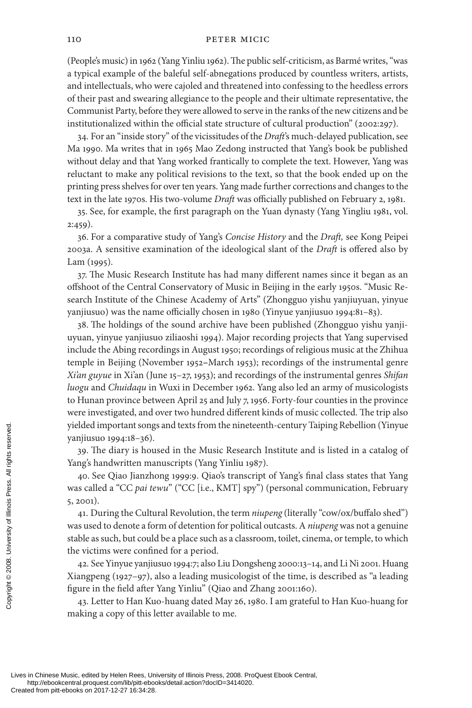(People's music) in 1962 (Yang Yinliu 1962). The public self-criticism, as Barmé writes, "was a typical example of the baleful self-abnegations produced by countless writers, artists, and intellectuals, who were cajoled and threatened into confessing to the heedless errors of their past and swearing allegiance to the people and their ultimate representative, the Communist Party, before they were allowed to serve in the ranks of the new citizens and be institutionalized within the official state structure of cultural production" (2002:297).

34. For an "inside story" of the vicissitudes of the *Draft*'s much-delayed publication, see Ma 1990. Ma writes that in 1965 Mao Zedong instructed that Yang's book be published without delay and that Yang worked frantically to complete the text. However, Yang was reluctant to make any political revisions to the text, so that the book ended up on the printing press shelves for over ten years. Yang made further corrections and changes to the text in the late 1970s. His two-volume *Draft* was officially published on February 2, 1981.

35. See, for example, the first paragraph on the Yuan dynasty (Yang Yingliu 1981, vol.  $2:459$ ).

36. For a comparative study of Yang's *Concise History* and the *Draft,* see Kong Peipei 2003a. A sensitive examination of the ideological slant of the *Draft* is offered also by Lam (1995).

37. The Music Research Institute has had many different names since it began as an offshoot of the Central Conservatory of Music in Beijing in the early 1950s. "Music Research Institute of the Chinese Academy of Arts" (Zhongguo yishu yanjiuyuan, yinyue yanjiusuo) was the name officially chosen in 1980 (Yinyue yanjiusuo 1994:81–83).

38. The holdings of the sound archive have been published (Zhongguo yishu yanjiuyuan, yinyue yanjiusuo ziliaoshi 1994). Major recording projects that Yang supervised include the Abing recordings in August 1950; recordings of religious music at the Zhihua temple in Beijing (November 1952**–**March 1953); recordings of the instrumental genre *Xi'an guyue* in Xi'an (June 15–27, 1953); and recordings of the instrumental genres *Shifan luogu* and *Chuidaqu* in Wuxi in December 1962. Yang also led an army of musicologists to Hunan province between April 25 and July  $7, 1956$ . Forty-four counties in the province were investigated, and over two hundred different kinds of music collected. The trip also yielded important songs and texts from the nineteenth-century Taiping Rebellion (Yinyue yanjiusuo 1994:18–36).

39. The diary is housed in the Music Research Institute and is listed in a catalog of Yang's handwritten manuscripts (Yang Yinliu 1987).

40. See Qiao Jianzhong 1999:9. Qiao's transcript of Yang's final class states that Yang was called a "CC *pai tewu*" ("CC [i.e., KMT] spy") (personal communication, February 5, 2001).

41. During the Cultural Revolution, the term *niupeng* (literally "cow/ox/buffalo shed") was used to denote a form of detention for political outcasts. A *niupeng* was not a genuine stable as such, but could be a place such as a classroom, toilet, cinema, or temple, to which the victims were confined for a period. Melded important song<br>
yanjiusuo 1994:18-36).<br>
39. The diary is hou<br>
Yang's handwritten ma<br>
40. See Qiao Jianzho<br>
was called a "CC *pai te*<br>
5, 2001).<br>
41. During the Cultu<br>
was used to denote a for<br>
stable as such, but c

42. See Yinyue yanjiusuo 1994:7; also Liu Dongsheng 2000:13–14, and Li Ni 2001. Huang Xiangpeng (1927–97), also a leading musicologist of the time, is described as "a leading figure in the field after Yang Yinliu" (Qiao and Zhang 2001:160).

43. Letter to Han Kuo-huang dated May 26, 1980. I am grateful to Han Kuo-huang for making a copy of this letter available to me.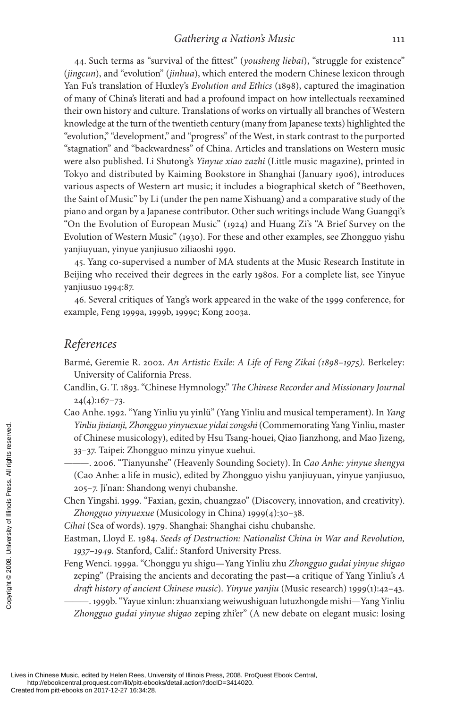44. Such terms as "survival of the fittest" (*yousheng liebai*), "struggle for existence" (*jingcun*), and "evolution" (*jinhua*), which entered the modern Chinese lexicon through Yan Fu's translation of Huxley's *Evolution and Ethics* (1898), captured the imagination of many of China's literati and had a profound impact on how intellectuals reexamined their own history and culture. Translations of works on virtually all branches of Western knowledge at the turn of the twentieth century (many from Japanese texts) highlighted the "evolution," "development," and "progress" of the West, in stark contrast to the purported "stagnation" and "backwardness" of China. Articles and translations on Western music were also published. Li Shutong's *Yinyue xiao zazhi* (Little music magazine), printed in Tokyo and distributed by Kaiming Bookstore in Shanghai (January 1906), introduces various aspects of Western art music; it includes a biographical sketch of "Beethoven, the Saint of Music" by Li (under the pen name Xishuang) and a comparative study of the piano and organ by a Japanese contributor. Other such writings include Wang Guangqi's "On the Evolution of European Music" (1924) and Huang Zi's "A Brief Survey on the Evolution of Western Music" (1930). For these and other examples, see Zhongguo yishu yanjiuyuan, yinyue yanjiusuo ziliaoshi 1990.

45. Yang co-supervised a number of MA students at the Music Research Institute in Beijing who received their degrees in the early 1980s. For a complete list, see Yinyue yanjiusuo 1994:87.

46. Several critiques of Yang's work appeared in the wake of the 1999 conference, for example, Feng 1999a, 1999b, 1999c; Kong 2003a.

#### *References*

- Barmé, Geremie R. 2002. *An Artistic Exile: A Life of Feng Zikai (1898–1975).* Berkeley: University of California Press.
- Candlin, G. T. 1893. "Chinese Hymnology." *The Chinese Recorder and Missionary Journal*  $24(4):167-73.$
- Cao Anhe. 1992. "Yang Yinliu yu yinlü" (Yang Yinliu and musical temperament). In *Yang Yinliu jinianji, Zhongguo yinyuexue yidai zongshi* (Commemorating Yang Yinliu, master of Chinese musicology), edited by Hsu Tsang-houei, Qiao Jianzhong, and Mao Jizeng, 33–37. Taipei: Zhongguo minzu yinyue xuehui.
	- ———. 2006. "Tianyunshe" (Heavenly Sounding Society). In *Cao Anhe: yinyue shengya* (Cao Anhe: a life in music), edited by Zhongguo yishu yanjiuyuan, yinyue yanjiusuo, 205–7. Ji'nan: Shandong wenyi chubanshe.
- Chen Yingshi. 1999. "Faxian, gexin, chuangzao" (Discovery, innovation, and creativity). *Zhongguo yinyuexue* (Musicology in China) 1999(4):30–38.
- *Cihai* (Sea of words). 1979. Shanghai: Shanghai cishu chubanshe.
- Eastman, Lloyd E. 1984. *Seeds of Destruction: Nationalist China in War and Revolution, 1937–1949.* Stanford, Calif.: Stanford University Press.
- Feng Wenci. 1999a. "Chonggu yu shigu—Yang Yinliu zhu *Zhongguo gudai yinyue shigao* zeping" (Praising the ancients and decorating the past—a critique of Yang Yinliu's *A draft history of ancient Chinese music*). *Yinyue yanjiu* (Music research) 1999(1):42–43. ———. 1999b. "Yayue xinlun: zhuanxiang weiwushiguan lutuzhongde mishi—Yang Yinliu *Zhongguo gudai yinyue shigao* zeping zhi'er" (A new debate on elegant music: losing Vinliu jimanji, Zhongg<br>
of Chinese musicolog<br>
33-37. Taipei: Zhongg<br>
23-37. Taipei: Zhongg<br>
23-37. Taipei: Zhongg<br>
2006. "Tianyun:<br>
Chen Yingshi. 1999. "Fa<br>
Zhongguo yinyuexue<br>
Cihai (Sea of words). 19<br>
Eastman, Lloyd E. 1

Lives in Chinese Music, edited by Helen Rees, University of Illinois Press, 2008. ProQuest Ebook Central, http://ebookcentral.proquest.com/lib/pitt-ebooks/detail.action?docID=3414020.<br>Created from pitt-ebooks on 2017-12-27 16:34:28.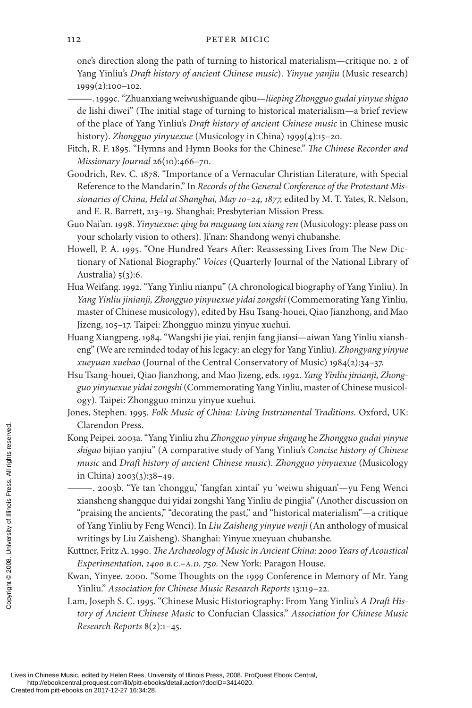#### 112 **PETER MICIC**

one's direction along the path of turning to historical materialism—critique no. 2 of Yang Yinliu's *Draft history of ancient Chinese music*). *Yinyue yanjiu* (Music research) 1999(2):100–102.

- ———. 1999c. "Zhuanxiang weiwushiguande qibu—*lüeping Zhongguo gudai yinyue shigao* de lishi diwei" (The initial stage of turning to historical materialism—a brief review of the place of Yang Yinliu's *Draft history of ancient Chinese music* in Chinese music history). *Zhongguo yinyuexue* (Musicology in China) 1999(4):15–20.
- Fitch, R. F. 1895. "Hymns and Hymn Books for the Chinese." *The Chinese Recorder and Missionary Journal* 26(10):466–70.
- Goodrich, Rev. C. 1878. "Importance of a Vernacular Christian Literature, with Special Reference to the Mandarin." In *Records of the General Conference of the Protestant Missionaries of China, Held at Shanghai, May 10–24, 1877,* edited by M. T. Yates, R. Nelson, and E. R. Barrett, 213–19. Shanghai: Presbyterian Mission Press.
- Guo Nai'an. 1998. *Yinyuexue: qing ba muguang tou xiang ren* (Musicology: please pass on your scholarly vision to others). Ji'nan: Shandong wenyi chubanshe.
- Howell, P. A. 1995. "One Hundred Years After: Reassessing Lives from The New Dictionary of National Biography." *Voices* (Quarterly Journal of the National Library of Australia)  $5(3):6$ .
- Hua Weifang. 1992. "Yang Yinliu nianpu" (A chronological biography of Yang Yinliu). In *Yang Yinliu jinianji, Zhongguo yinyuexue yidai zongshi* (Commemorating Yang Yinliu, master of Chinese musicology), edited by Hsu Tsang-houei, Qiao Jianzhong, and Mao Jizeng, 105–17. Taipei: Zhongguo minzu yinyue xuehui.
- Huang Xiangpeng. 1984. "Wangshi jie yiai, renjin fang jiansi—aiwan Yang Yinliu xiansheng" (We are reminded today of his legacy: an elegy for Yang Yinliu). *Zhongyang yinyue xueyuan xuebao* (Journal of the Central Conservatory of Music) 1984(2):34–37.
- Hsu Tsang-houei, Qiao Jianzhong, and Mao Jizeng, eds. 1992. *Yang Yinliu jinianji, Zhongguo yinyuexue yidai zongshi* (Commemorating Yang Yinliu, master of Chinese musicology). Taipei: Zhongguo minzu yinyue xuehui.
- Jones, Stephen. 1995. *Folk Music of China: Living Instrumental Traditions.* Oxford, UK: Clarendon Press.
- Kong Peipei. 2003a. "Yang Yinliu zhu *Zhongguo yinyue shigang* he *Zhongguo gudai yinyue shigao* bijiao yanjiu" (A comparative study of Yang Yinliu's *Concise history of Chinese music* and *Draft history of ancient Chinese music*). *Zhongguo yinyuexue* (Musicology in China) 2003(3):38–49.
- ———. 2003b. "Ye tan 'chonggu,' 'fangfan xintai' yu 'weiwu shiguan'—yu Feng Wenci xiansheng shangque dui yidai zongshi Yang Yinliu de pingjia" (Another discussion on "praising the ancients," "decorating the past," and "historical materialism"—a critique of Yang Yinliu by Feng Wenci). In *Liu Zaisheng yinyue wenji* (An anthology of musical writings by Liu Zaisheng). Shanghai: Yinyue xueyuan chubanshe. Clarendon Press.<br>
Kong Peipei. 2003a. "Ya<br> *shigao* bijiao yanjiu"<br>
music and *Draft hist*<br>
in China) 2003(3):38<br>
——. 2003b. "Ye tan<br>
xiansheng shangque<br>
"praising the ancient<br>
of Yang Yinliu by Fer<br>
writings by Liu Zaisl<br>
	- Kuttner, Fritz A. 1990. *The Archaeology of Music in Ancient China: 2000 Years of Acoustical Experimentation, 1400 b.c.–a.d. 750.* New York: Paragon House.
	- Kwan, Yinyee. 2000. "Some Thoughts on the 1999 Conference in Memory of Mr. Yang Yinliu." *Association for Chinese Music Research Reports* 13:119–22.
	- Lam, Joseph S. C. 1995. "Chinese Music Historiography: From Yang Yinliu's *A Draft History of Ancient Chinese Music* to Confucian Classics." *Association for Chinese Music Research Reports* 8(2):1–45.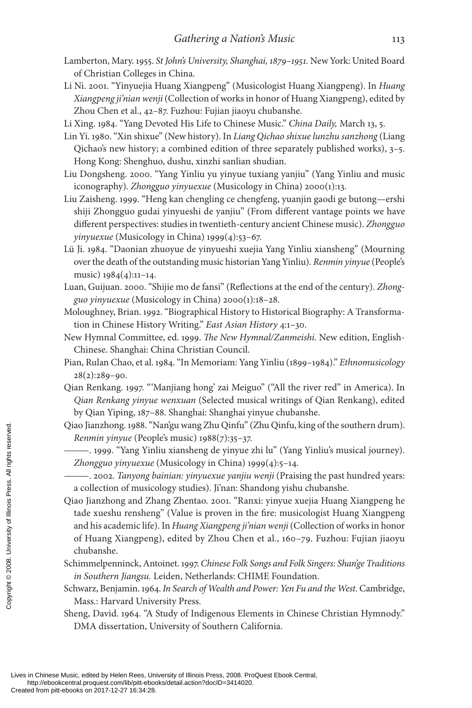- Lamberton, Mary. 1955. *St John's University, Shanghai, 1879–1951.* New York: United Board of Christian Colleges in China.
- Li Ni. 2001. "Yinyuejia Huang Xiangpeng" (Musicologist Huang Xiangpeng). In *Huang Xiangpeng ji'nian wenji* (Collection of works in honor of Huang Xiangpeng), edited by Zhou Chen et al., 42–87. Fuzhou: Fujian jiaoyu chubanshe.
- Li Xing. 1984. "Yang Devoted His Life to Chinese Music." *China Daily,* March 13, 5.
- Lin Yi. 1980. "Xin shixue" (New history). In *Liang Qichao shixue lunzhu sanzhong* (Liang Qichao's new history; a combined edition of three separately published works), 3–5. Hong Kong: Shenghuo, dushu, xinzhi sanlian shudian.
- Liu Dongsheng. 2000. "Yang Yinliu yu yinyue tuxiang yanjiu" (Yang Yinliu and music iconography). *Zhongguo yinyuexue* (Musicology in China) 2000(1):13.
- Liu Zaisheng. 1999. "Heng kan chengling ce chengfeng, yuanjin gaodi ge butong—ershi shiji Zhongguo gudai yinyueshi de yanjiu" (From different vantage points we have different perspectives: studies in twentieth-century ancient Chinese music). *Zhongguo yinyuexue* (Musicology in China) 1999(4):53–67.
- Lü Ji. 1984. "Daonian zhuoyue de yinyueshi xuejia Yang Yinliu xiansheng" (Mourning over the death of the outstanding music historian Yang Yinliu). *Renmin yinyue* (People's music) 1984(4):11–14.
- Luan, Guijuan. 2000. "Shijie mo de fansi" (Reflections at the end of the century). *Zhongguo yinyuexue* (Musicology in China) 2000(1):18–28.
- Moloughney, Brian. 1992. "Biographical History to Historical Biography: A Transformation in Chinese History Writing." *East Asian History* 4:1–30.
- New Hymnal Committee, ed. 1999. *The New Hymnal/Zanmeishi.* New edition, English-Chinese. Shanghai: China Christian Council.
- Pian, Rulan Chao, et al. 1984. "In Memoriam: Yang Yinliu (1899–1984)." *Ethnomusicology* 28(2):289–90.
- Qian Renkang. 1997. "'Manjiang hong' zai Meiguo" ("All the river red" in America). In *Qian Renkang yinyue wenxuan* (Selected musical writings of Qian Renkang), edited by Qian Yiping, 187–88. Shanghai: Shanghai yinyue chubanshe.
- Qiao Jianzhong. 1988. "Nan'gu wang Zhu Qinfu" (Zhu Qinfu, king of the southern drum). *Renmin yinyue* (People's music) 1988(7):35–37.
	- ———. 1999. "Yang Yinliu xiansheng de yinyue zhi lu" (Yang Yinliu's musical journey). *Zhongguo yinyuexue* (Musicology in China) 1999(4):5–14.
	- ———. 2002. *Tanyong bainian: yinyuexue yanjiu wenji* (Praising the past hundred years: a collection of musicology studies). Ji'nan: Shandong yishu chubanshe.
- Qiao Jianzhong and Zhang Zhentao. 2001. "Ranxi: yinyue xuejia Huang Xiangpeng he tade xueshu rensheng" (Value is proven in the fire: musicologist Huang Xiangpeng and his academic life). In *Huang Xiangpeng ji'nian wenji* (Collection of works in honor of Huang Xiangpeng), edited by Zhou Chen et al., 160–79. Fuzhou: Fujian jiaoyu chubanshe. Created from pitt-ebooks on 2017-12-27 16:34:28.<br>Created from pitt-ebooks on 2017-12-27 16:34:28. Copyright Created from pitt-ebooks on 2017-12-27 16:34:28. Copyright-ebooks on 2017-12-27 16:34:28. Copyright-ebooks on 2017
	- Schimmelpenninck, Antoinet. 1997. *Chinese Folk Songs and Folk Singers: Shan'ge Traditions in Southern Jiangsu.* Leiden, Netherlands: CHIME Foundation.
	- Schwarz, Benjamin. 1964. *In Search of Wealth and Power: Yen Fu and the West.* Cambridge, Mass.: Harvard University Press.
	- Sheng, David. 1964. "A Study of Indigenous Elements in Chinese Christian Hymnody." DMA dissertation, University of Southern California.

Lives in Chinese Music, edited by Helen Rees, University of Illinois Press, 2008. ProQuest Ebook Central, http://ebookcentral.proquest.com/lib/pitt-ebooks/detail.action?docID=3414020.<br>Created from pitt-ebooks on 2017-12-27 16:34:28.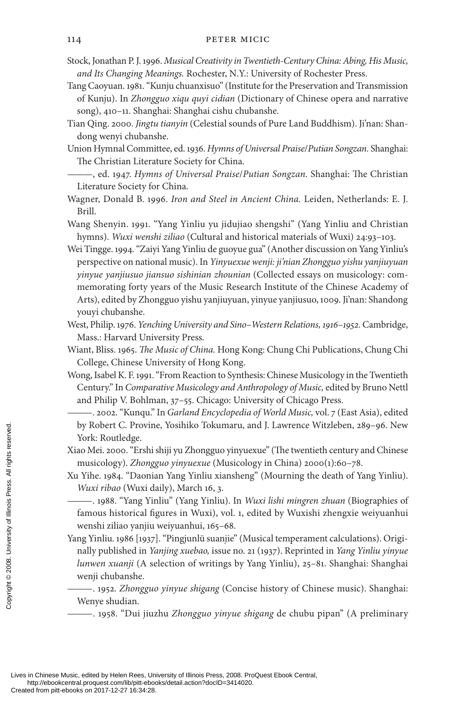- Stock, Jonathan P. J. 1996. *Musical Creativity in Twentieth-Century China: Abing, His Music, and Its Changing Meanings.* Rochester, N.Y.: University of Rochester Press.
- Tang Caoyuan. 1981. "Kunju chuanxisuo" (Institute for the Preservation and Transmission of Kunju). In *Zhongguo xiqu quyi cidian* (Dictionary of Chinese opera and narrative song), 410–11. Shanghai: Shanghai cishu chubanshe.
- Tian Qing. 2000. *Jingtu tianyin* (Celestial sounds of Pure Land Buddhism). Ji'nan: Shandong wenyi chubanshe.
- Union Hymnal Committee, ed. 1936. *Hymns of Universal Praise*/*Putian Songzan.* Shanghai: The Christian Literature Society for China.
- ———, ed. 1947. *Hymns of Universal Praise*/*Putian Songzan.* Shanghai: The Christian Literature Society for China.
- Wagner, Donald B. 1996. *Iron and Steel in Ancient China.* Leiden, Netherlands: E. J. Brill.
- Wang Shenyin. 1991. "Yang Yinliu yu jidujiao shengshi" (Yang Yinliu and Christian hymns). *Wuxi wenshi ziliao* (Cultural and historical materials of Wuxi) 24:93–103.
- Wei Tingge. 1994. "Zaiyi Yang Yinliu de guoyue gua" (Another discussion on Yang Yinliu's perspective on national music). In *Yinyuexue wenji: ji'nian Zhongguo yishu yanjiuyuan yinyue yanjiusuo jiansuo sishinian zhounian* (Collected essays on musicology: commemorating forty years of the Music Research Institute of the Chinese Academy of Arts), edited by Zhongguo yishu yanjiuyuan, yinyue yanjiusuo, 1009. Ji'nan: Shandong youyi chubanshe.
- West, Philip. 1976. *Yenching University and Sino–Western Relations, 1916–1952.* Cambridge, Mass.: Harvard University Press.
- Wiant, Bliss. 1965. *The Music of China.* Hong Kong: Chung Chi Publications, Chung Chi College, Chinese University of Hong Kong.
- Wong, Isabel K. F. 1991. "From Reaction to Synthesis: Chinese Musicology in the Twentieth Century." In *Comparative Musicology and Anthropology of Music,* edited by Bruno Nettl and Philip V. Bohlman, 37–55. Chicago: University of Chicago Press.
- ———. 2002. "Kunqu." In *Garland Encyclopedia of World Music,* vol. 7 (East Asia), edited by Robert C. Provine, Yosihiko Tokumaru, and J. Lawrence Witzleben, 289–96. New York: Routledge.
- Xiao Mei. 2000. "Ershi shiji yu Zhongguo yinyuexue" (The twentieth century and Chinese musicology). *Zhongguo yinyuexue* (Musicology in China) 2000(1):60–78.
- Xu Yihe. 1984. "Daonian Yang Yinliu xiansheng" (Mourning the death of Yang Yinliu). *Wuxi ribao* (Wuxi daily), March 16, 3.
	- ———. 1988. "Yang Yinliu" (Yang Yinliu). In *Wuxi lishi mingren zhuan* (Biographies of famous historical figures in Wuxi), vol. 1, edited by Wuxishi zhengxie weiyuanhui wenshi ziliao yanjiu weiyuanhui, 165–68.
- Yang Yinliu. 1986 [1937]. "Pingjunlü suanjie" (Musical temperament calculations). Originally published in *Yanjing xuebao,* issue no. 21 (1937). Reprinted in *Yang Yinliu yinyue lunwen xuanji* (A selection of writings by Yang Yinliu), 25–81. Shanghai: Shanghai wenji chubanshe. by Robert C. Province<br>
York: Routledge.<br>
Xiao Mei. 2000. "Ershi :<br>
musicology). Zhongg<br>
Xu Yihe. 1984. "Daonia<br> *Wuxi ribao* (Wuxi di<br>
— 1988. "Yang Yir<br>
famous historical fi<sub>l</sub><br>
wenshi ziliao yanjiu<br>
Yang Yinliu. 1986 [1
	- ———. 1952. *Zhongguo yinyue shigang* (Concise history of Chinese music). Shanghai: Wenye shudian.
	- ———. 1958. "Dui jiuzhu *Zhongguo yinyue shigang* de chubu pipan" (A preliminary

Lives in Chinese Music, edited by Helen Rees, University of Illinois Press, 2008. ProQuest Ebook Central, http://ebookcentral.proquest.com/lib/pitt-ebooks/detail.action?docID=3414020.<br>Created from pitt-ebooks on 2017-12-27 16:34:28.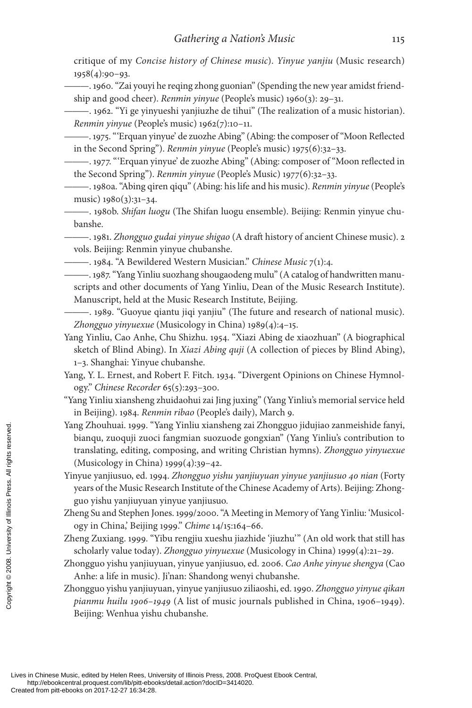critique of my *Concise history of Chinese music*). *Yinyue yanjiu* (Music research) 1958(4):90–93.

———. 1960. "Zai youyi he reqing zhong guonian" (Spending the new year amidst friendship and good cheer). *Renmin yinyue* (People's music) 1960(3): 29–31.

———. 1962. "Yi ge yinyueshi yanjiuzhe de tihui" (The realization of a music historian). *Renmin yinyue* (People's music) 1962(7):10–11.

———. 1975. "'Erquan yinyue' de zuozhe Abing" (Abing: the composer of "Moon Reflected in the Second Spring"). *Renmin yinyue* (People's music) 1975(6):32–33.

———. 1977. "'Erquan yinyue' de zuozhe Abing" (Abing: composer of "Moon reflected in the Second Spring"). *Renmin yinyue* (People's Music) 1977(6):32–33.

———. 1980a. "Abing qiren qiqu" (Abing: his life and his music). *Renmin yinyue* (People's music) 1980(3):31–34.

———. 1980b. *Shifan luogu* (The Shifan luogu ensemble). Beijing: Renmin yinyue chubanshe.

———. 1981. *Zhongguo gudai yinyue shigao* (A draft history of ancient Chinese music). 2 vols. Beijing: Renmin yinyue chubanshe.

———. 1984. "A Bewildered Western Musician." *Chinese Music* 7(1):4.

———. 1987. "Yang Yinliu suozhang shougaodeng mulu" (A catalog of handwritten manuscripts and other documents of Yang Yinliu, Dean of the Music Research Institute). Manuscript, held at the Music Research Institute, Beijing.

———. 1989. "Guoyue qiantu jiqi yanjiu" (The future and research of national music). *Zhongguo yinyuexue* (Musicology in China) 1989(4):4–15.

Yang Yinliu, Cao Anhe, Chu Shizhu. 1954. "Xiazi Abing de xiaozhuan" (A biographical sketch of Blind Abing). In *Xiazi Abing quji* (A collection of pieces by Blind Abing), 1–3. Shanghai: Yinyue chubanshe.

Yang, Y. L. Ernest, and Robert F. Fitch. 1934. "Divergent Opinions on Chinese Hymnology." *Chinese Recorder* 65(5):293–300.

"Yang Yinliu xiansheng zhuidaohui zai Jing juxing" (Yang Yinliu's memorial service held in Beijing). 1984. *Renmin ribao* (People's daily), March 9.

- Yang Zhouhuai. 1999. "Yang Yinliu xiansheng zai Zhongguo jidujiao zanmeishide fanyi, bianqu, zuoquji zuoci fangmian suozuode gongxian" (Yang Yinliu's contribution to translating, editing, composing, and writing Christian hymns). *Zhongguo yinyuexue* (Musicology in China) 1999(4):39–42. Example 1 All reserved. The press of the Musicology in China<br>
Example 1 All reserved. The press of the Music Res<br>
general of the Music Res<br>
general of the Music Res<br>
general of the Music Res<br>
general of the Music Res<br>
gene
	- Yinyue yanjiusuo, ed. 1994. *Zhongguo yishu yanjiuyuan yinyue yanjiusuo 40 nian* (Forty years of the Music Research Institute of the Chinese Academy of Arts). Beijing: Zhongguo yishu yanjiuyuan yinyue yanjiusuo.
	- Zheng Su and Stephen Jones. 1999/2000. "A Meeting in Memory of Yang Yinliu: 'Musicology in China,' Beijing 1999." *Chime* 14/15:164–66.
	- Zheng Zuxiang. 1999. "Yibu rengjiu xueshu jiazhide 'jiuzhu'" (An old work that still has scholarly value today). *Zhongguo yinyuexue* (Musicology in China) 1999(4):21–29.
	- Zhongguo yishu yanjiuyuan, yinyue yanjiusuo, ed. 2006. *Cao Anhe yinyue shengya* (Cao Anhe: a life in music). Ji'nan: Shandong wenyi chubanshe.
	- Zhongguo yishu yanjiuyuan, yinyue yanjiusuo ziliaoshi, ed. 1990. *Zhongguo yinyue qikan pianmu huilu 1906–1949* (A list of music journals published in China, 1906–1949). Beijing: Wenhua yishu chubanshe.